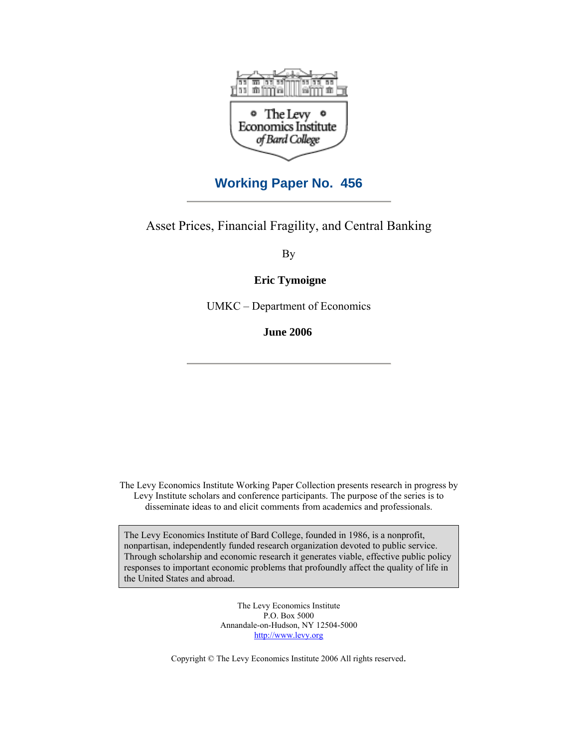

# **Working Paper No. 456**

Asset Prices, Financial Fragility, and Central Banking

By

**Eric Tymoigne** 

UMKC – Department of Economics

**June 2006**

The Levy Economics Institute Working Paper Collection presents research in progress by Levy Institute scholars and conference participants. The purpose of the series is to disseminate ideas to and elicit comments from academics and professionals.

The Levy Economics Institute of Bard College, founded in 1986, is a nonprofit, nonpartisan, independently funded research organization devoted to public service. Through scholarship and economic research it generates viable, effective public policy responses to important economic problems that profoundly affect the quality of life in the United States and abroad.

> The Levy Economics Institute P.O. Box 5000 Annandale-on-Hudson, NY 12504-5000 http://www.levy.org

Copyright © The Levy Economics Institute 2006 All rights reserved.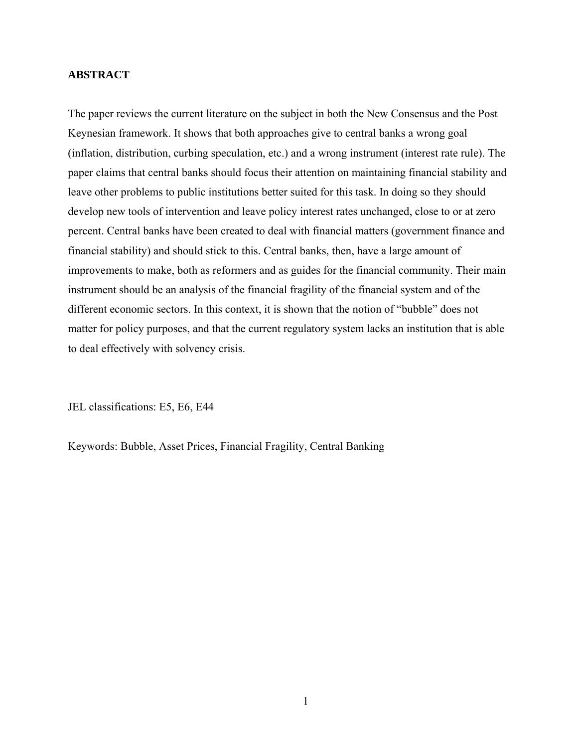# **ABSTRACT**

The paper reviews the current literature on the subject in both the New Consensus and the Post Keynesian framework. It shows that both approaches give to central banks a wrong goal (inflation, distribution, curbing speculation, etc.) and a wrong instrument (interest rate rule). The paper claims that central banks should focus their attention on maintaining financial stability and leave other problems to public institutions better suited for this task. In doing so they should develop new tools of intervention and leave policy interest rates unchanged, close to or at zero percent. Central banks have been created to deal with financial matters (government finance and financial stability) and should stick to this. Central banks, then, have a large amount of improvements to make, both as reformers and as guides for the financial community. Their main instrument should be an analysis of the financial fragility of the financial system and of the different economic sectors. In this context, it is shown that the notion of "bubble" does not matter for policy purposes, and that the current regulatory system lacks an institution that is able to deal effectively with solvency crisis.

JEL classifications: E5, E6, E44

Keywords: Bubble, Asset Prices, Financial Fragility, Central Banking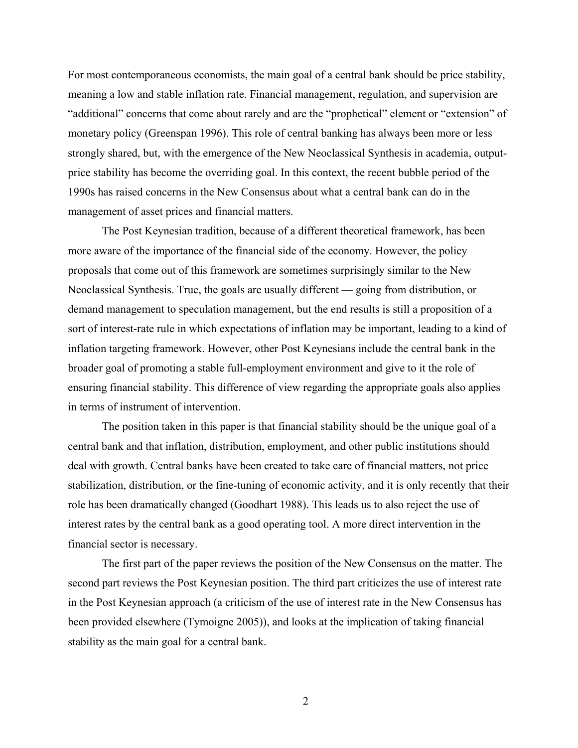For most contemporaneous economists, the main goal of a central bank should be price stability, meaning a low and stable inflation rate. Financial management, regulation, and supervision are "additional" concerns that come about rarely and are the "prophetical" element or "extension" of monetary policy (Greenspan 1996). This role of central banking has always been more or less strongly shared, but, with the emergence of the New Neoclassical Synthesis in academia, outputprice stability has become the overriding goal. In this context, the recent bubble period of the 1990s has raised concerns in the New Consensus about what a central bank can do in the management of asset prices and financial matters.

The Post Keynesian tradition, because of a different theoretical framework, has been more aware of the importance of the financial side of the economy. However, the policy proposals that come out of this framework are sometimes surprisingly similar to the New Neoclassical Synthesis. True, the goals are usually different — going from distribution, or demand management to speculation management, but the end results is still a proposition of a sort of interest-rate rule in which expectations of inflation may be important, leading to a kind of inflation targeting framework. However, other Post Keynesians include the central bank in the broader goal of promoting a stable full-employment environment and give to it the role of ensuring financial stability. This difference of view regarding the appropriate goals also applies in terms of instrument of intervention.

The position taken in this paper is that financial stability should be the unique goal of a central bank and that inflation, distribution, employment, and other public institutions should deal with growth. Central banks have been created to take care of financial matters, not price stabilization, distribution, or the fine-tuning of economic activity, and it is only recently that their role has been dramatically changed (Goodhart 1988). This leads us to also reject the use of interest rates by the central bank as a good operating tool. A more direct intervention in the financial sector is necessary.

The first part of the paper reviews the position of the New Consensus on the matter. The second part reviews the Post Keynesian position. The third part criticizes the use of interest rate in the Post Keynesian approach (a criticism of the use of interest rate in the New Consensus has been provided elsewhere (Tymoigne 2005)), and looks at the implication of taking financial stability as the main goal for a central bank.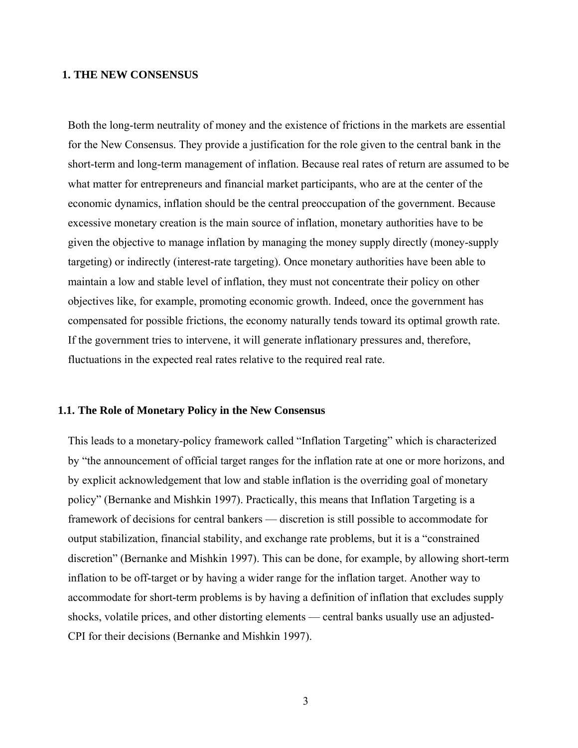## **1. THE NEW CONSENSUS**

Both the long-term neutrality of money and the existence of frictions in the markets are essential for the New Consensus. They provide a justification for the role given to the central bank in the short-term and long-term management of inflation. Because real rates of return are assumed to be what matter for entrepreneurs and financial market participants, who are at the center of the economic dynamics, inflation should be the central preoccupation of the government. Because excessive monetary creation is the main source of inflation, monetary authorities have to be given the objective to manage inflation by managing the money supply directly (money-supply targeting) or indirectly (interest-rate targeting). Once monetary authorities have been able to maintain a low and stable level of inflation, they must not concentrate their policy on other objectives like, for example, promoting economic growth. Indeed, once the government has compensated for possible frictions, the economy naturally tends toward its optimal growth rate. If the government tries to intervene, it will generate inflationary pressures and, therefore, fluctuations in the expected real rates relative to the required real rate.

### **1.1. The Role of Monetary Policy in the New Consensus**

This leads to a monetary-policy framework called "Inflation Targeting" which is characterized by "the announcement of official target ranges for the inflation rate at one or more horizons, and by explicit acknowledgement that low and stable inflation is the overriding goal of monetary policy" (Bernanke and Mishkin 1997). Practically, this means that Inflation Targeting is a framework of decisions for central bankers — discretion is still possible to accommodate for output stabilization, financial stability, and exchange rate problems, but it is a "constrained discretion" (Bernanke and Mishkin 1997). This can be done, for example, by allowing short-term inflation to be off-target or by having a wider range for the inflation target. Another way to accommodate for short-term problems is by having a definition of inflation that excludes supply shocks, volatile prices, and other distorting elements — central banks usually use an adjusted-CPI for their decisions (Bernanke and Mishkin 1997).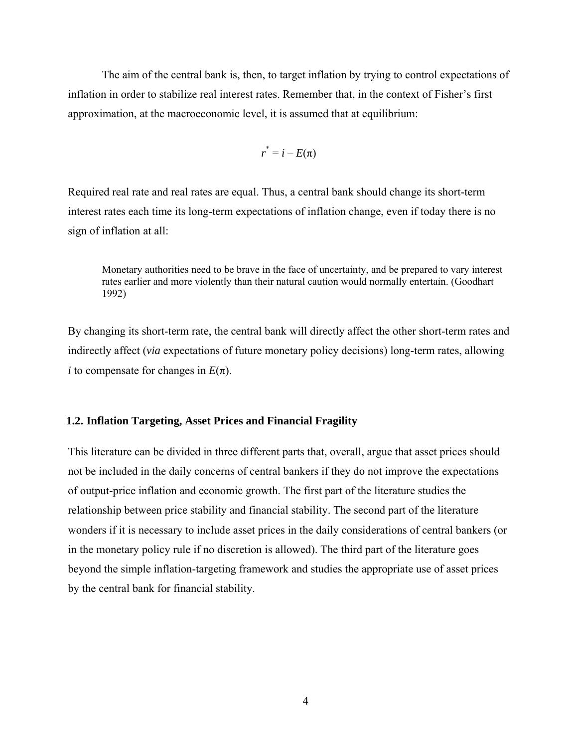The aim of the central bank is, then, to target inflation by trying to control expectations of inflation in order to stabilize real interest rates. Remember that, in the context of Fisher's first approximation, at the macroeconomic level, it is assumed that at equilibrium:

$$
r^* = i - E(\pi)
$$

Required real rate and real rates are equal. Thus, a central bank should change its short-term interest rates each time its long-term expectations of inflation change, even if today there is no sign of inflation at all:

Monetary authorities need to be brave in the face of uncertainty, and be prepared to vary interest rates earlier and more violently than their natural caution would normally entertain. (Goodhart 1992)

By changing its short-term rate, the central bank will directly affect the other short-term rates and indirectly affect (*via* expectations of future monetary policy decisions) long-term rates, allowing *i* to compensate for changes in  $E(\pi)$ .

# **1.2. Inflation Targeting, Asset Prices and Financial Fragility**

This literature can be divided in three different parts that, overall, argue that asset prices should not be included in the daily concerns of central bankers if they do not improve the expectations of output-price inflation and economic growth. The first part of the literature studies the relationship between price stability and financial stability. The second part of the literature wonders if it is necessary to include asset prices in the daily considerations of central bankers (or in the monetary policy rule if no discretion is allowed). The third part of the literature goes beyond the simple inflation-targeting framework and studies the appropriate use of asset prices by the central bank for financial stability.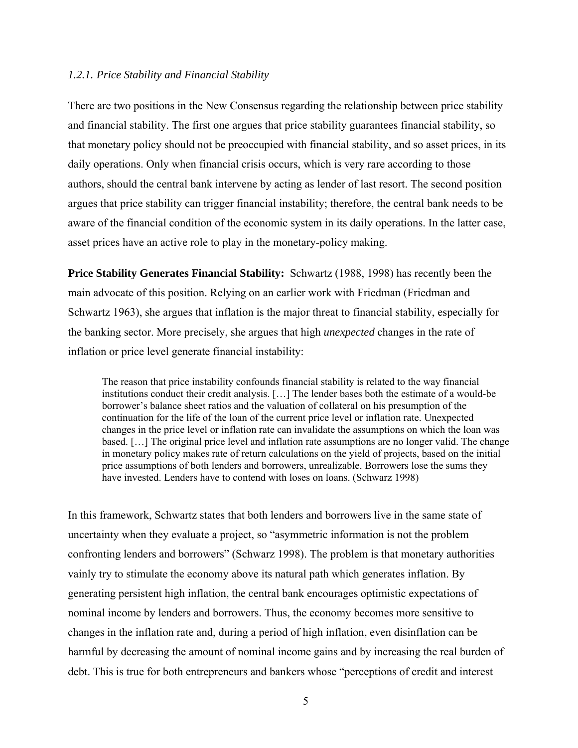#### *1.2.1. Price Stability and Financial Stability*

There are two positions in the New Consensus regarding the relationship between price stability and financial stability. The first one argues that price stability guarantees financial stability, so that monetary policy should not be preoccupied with financial stability, and so asset prices, in its daily operations. Only when financial crisis occurs, which is very rare according to those authors, should the central bank intervene by acting as lender of last resort. The second position argues that price stability can trigger financial instability; therefore, the central bank needs to be aware of the financial condition of the economic system in its daily operations. In the latter case, asset prices have an active role to play in the monetary-policy making.

**Price Stability Generates Financial Stability:** Schwartz (1988, 1998) has recently been the main advocate of this position. Relying on an earlier work with Friedman (Friedman and Schwartz 1963), she argues that inflation is the major threat to financial stability, especially for the banking sector. More precisely, she argues that high *unexpected* changes in the rate of inflation or price level generate financial instability:

The reason that price instability confounds financial stability is related to the way financial institutions conduct their credit analysis. […] The lender bases both the estimate of a would-be borrower's balance sheet ratios and the valuation of collateral on his presumption of the continuation for the life of the loan of the current price level or inflation rate. Unexpected changes in the price level or inflation rate can invalidate the assumptions on which the loan was based. […] The original price level and inflation rate assumptions are no longer valid. The change in monetary policy makes rate of return calculations on the yield of projects, based on the initial price assumptions of both lenders and borrowers, unrealizable. Borrowers lose the sums they have invested. Lenders have to contend with loses on loans. (Schwarz 1998)

In this framework, Schwartz states that both lenders and borrowers live in the same state of uncertainty when they evaluate a project, so "asymmetric information is not the problem confronting lenders and borrowers" (Schwarz 1998). The problem is that monetary authorities vainly try to stimulate the economy above its natural path which generates inflation. By generating persistent high inflation, the central bank encourages optimistic expectations of nominal income by lenders and borrowers. Thus, the economy becomes more sensitive to changes in the inflation rate and, during a period of high inflation, even disinflation can be harmful by decreasing the amount of nominal income gains and by increasing the real burden of debt. This is true for both entrepreneurs and bankers whose "perceptions of credit and interest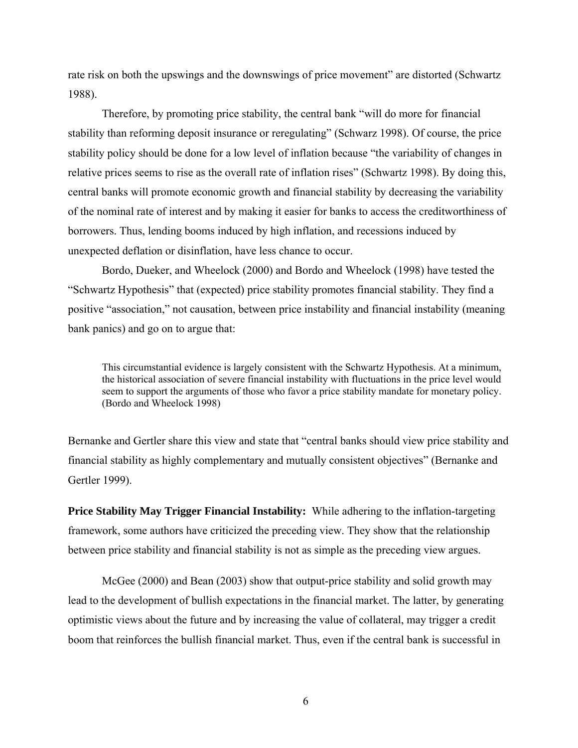rate risk on both the upswings and the downswings of price movement" are distorted (Schwartz 1988).

Therefore, by promoting price stability, the central bank "will do more for financial stability than reforming deposit insurance or reregulating" (Schwarz 1998). Of course, the price stability policy should be done for a low level of inflation because "the variability of changes in relative prices seems to rise as the overall rate of inflation rises" (Schwartz 1998). By doing this, central banks will promote economic growth and financial stability by decreasing the variability of the nominal rate of interest and by making it easier for banks to access the creditworthiness of borrowers. Thus, lending booms induced by high inflation, and recessions induced by unexpected deflation or disinflation, have less chance to occur.

Bordo, Dueker, and Wheelock (2000) and Bordo and Wheelock (1998) have tested the "Schwartz Hypothesis" that (expected) price stability promotes financial stability. They find a positive "association," not causation, between price instability and financial instability (meaning bank panics) and go on to argue that:

This circumstantial evidence is largely consistent with the Schwartz Hypothesis. At a minimum, the historical association of severe financial instability with fluctuations in the price level would seem to support the arguments of those who favor a price stability mandate for monetary policy. (Bordo and Wheelock 1998)

Bernanke and Gertler share this view and state that "central banks should view price stability and financial stability as highly complementary and mutually consistent objectives" (Bernanke and Gertler 1999).

**Price Stability May Trigger Financial Instability:** While adhering to the inflation-targeting framework, some authors have criticized the preceding view. They show that the relationship between price stability and financial stability is not as simple as the preceding view argues.

McGee (2000) and Bean (2003) show that output-price stability and solid growth may lead to the development of bullish expectations in the financial market. The latter, by generating optimistic views about the future and by increasing the value of collateral, may trigger a credit boom that reinforces the bullish financial market. Thus, even if the central bank is successful in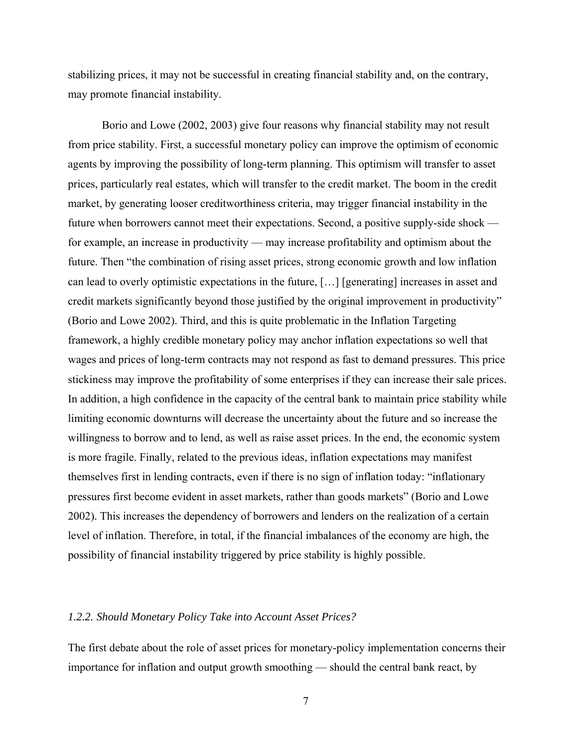stabilizing prices, it may not be successful in creating financial stability and, on the contrary, may promote financial instability.

Borio and Lowe (2002, 2003) give four reasons why financial stability may not result from price stability. First, a successful monetary policy can improve the optimism of economic agents by improving the possibility of long-term planning. This optimism will transfer to asset prices, particularly real estates, which will transfer to the credit market. The boom in the credit market, by generating looser creditworthiness criteria, may trigger financial instability in the future when borrowers cannot meet their expectations. Second, a positive supply-side shock for example, an increase in productivity — may increase profitability and optimism about the future. Then "the combination of rising asset prices, strong economic growth and low inflation can lead to overly optimistic expectations in the future, […] [generating] increases in asset and credit markets significantly beyond those justified by the original improvement in productivity" (Borio and Lowe 2002). Third, and this is quite problematic in the Inflation Targeting framework, a highly credible monetary policy may anchor inflation expectations so well that wages and prices of long-term contracts may not respond as fast to demand pressures. This price stickiness may improve the profitability of some enterprises if they can increase their sale prices. In addition, a high confidence in the capacity of the central bank to maintain price stability while limiting economic downturns will decrease the uncertainty about the future and so increase the willingness to borrow and to lend, as well as raise asset prices. In the end, the economic system is more fragile. Finally, related to the previous ideas, inflation expectations may manifest themselves first in lending contracts, even if there is no sign of inflation today: "inflationary pressures first become evident in asset markets, rather than goods markets" (Borio and Lowe 2002). This increases the dependency of borrowers and lenders on the realization of a certain level of inflation. Therefore, in total, if the financial imbalances of the economy are high, the possibility of financial instability triggered by price stability is highly possible.

# *1.2.2. Should Monetary Policy Take into Account Asset Prices?*

The first debate about the role of asset prices for monetary-policy implementation concerns their importance for inflation and output growth smoothing — should the central bank react, by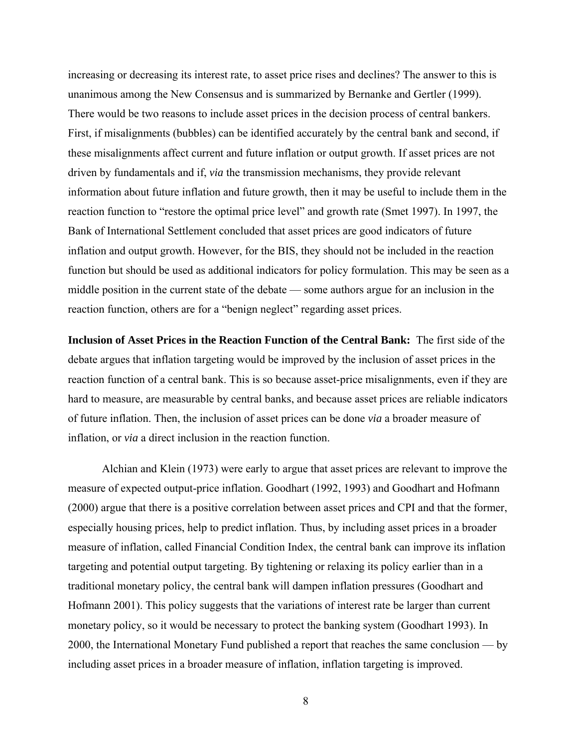increasing or decreasing its interest rate, to asset price rises and declines? The answer to this is unanimous among the New Consensus and is summarized by Bernanke and Gertler (1999). There would be two reasons to include asset prices in the decision process of central bankers. First, if misalignments (bubbles) can be identified accurately by the central bank and second, if these misalignments affect current and future inflation or output growth. If asset prices are not driven by fundamentals and if, *via* the transmission mechanisms, they provide relevant information about future inflation and future growth, then it may be useful to include them in the reaction function to "restore the optimal price level" and growth rate (Smet 1997). In 1997, the Bank of International Settlement concluded that asset prices are good indicators of future inflation and output growth. However, for the BIS, they should not be included in the reaction function but should be used as additional indicators for policy formulation. This may be seen as a middle position in the current state of the debate — some authors argue for an inclusion in the reaction function, others are for a "benign neglect" regarding asset prices.

**Inclusion of Asset Prices in the Reaction Function of the Central Bank:** The first side of the debate argues that inflation targeting would be improved by the inclusion of asset prices in the reaction function of a central bank. This is so because asset-price misalignments, even if they are hard to measure, are measurable by central banks, and because asset prices are reliable indicators of future inflation. Then, the inclusion of asset prices can be done *via* a broader measure of inflation, or *via* a direct inclusion in the reaction function.

Alchian and Klein (1973) were early to argue that asset prices are relevant to improve the measure of expected output-price inflation. Goodhart (1992, 1993) and Goodhart and Hofmann (2000) argue that there is a positive correlation between asset prices and CPI and that the former, especially housing prices, help to predict inflation. Thus, by including asset prices in a broader measure of inflation, called Financial Condition Index, the central bank can improve its inflation targeting and potential output targeting. By tightening or relaxing its policy earlier than in a traditional monetary policy, the central bank will dampen inflation pressures (Goodhart and Hofmann 2001). This policy suggests that the variations of interest rate be larger than current monetary policy, so it would be necessary to protect the banking system (Goodhart 1993). In 2000, the International Monetary Fund published a report that reaches the same conclusion — by including asset prices in a broader measure of inflation, inflation targeting is improved.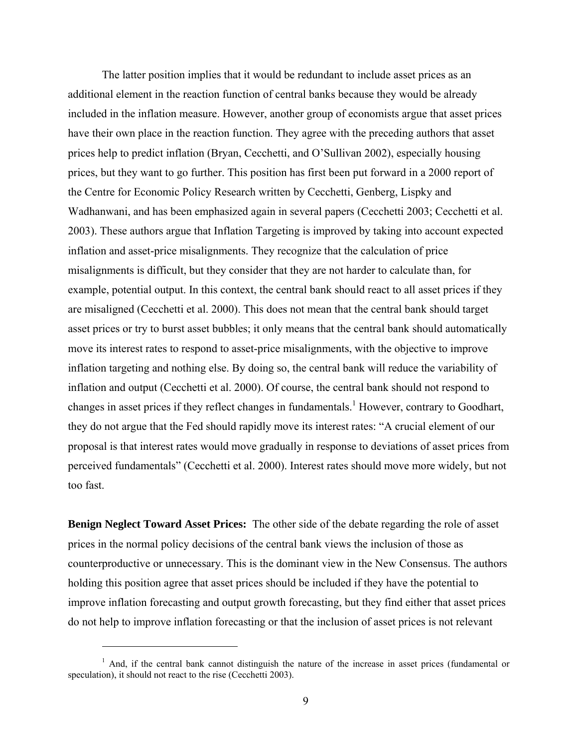The latter position implies that it would be redundant to include asset prices as an additional element in the reaction function of central banks because they would be already included in the inflation measure. However, another group of economists argue that asset prices have their own place in the reaction function. They agree with the preceding authors that asset prices help to predict inflation (Bryan, Cecchetti, and O'Sullivan 2002), especially housing prices, but they want to go further. This position has first been put forward in a 2000 report of the Centre for Economic Policy Research written by Cecchetti, Genberg, Lispky and Wadhanwani, and has been emphasized again in several papers (Cecchetti 2003; Cecchetti et al. 2003). These authors argue that Inflation Targeting is improved by taking into account expected inflation and asset-price misalignments. They recognize that the calculation of price misalignments is difficult, but they consider that they are not harder to calculate than, for example, potential output. In this context, the central bank should react to all asset prices if they are misaligned (Cecchetti et al. 2000). This does not mean that the central bank should target asset prices or try to burst asset bubbles; it only means that the central bank should automatically move its interest rates to respond to asset-price misalignments, with the objective to improve inflation targeting and nothing else. By doing so, the central bank will reduce the variability of inflation and output (Cecchetti et al. 2000). Of course, the central bank should not respond to changes in asset prices if they reflect changes in fundamentals.<sup>1</sup> However, contrary to Goodhart, they do not argue that the Fed should rapidly move its interest rates: "A crucial element of our proposal is that interest rates would move gradually in response to deviations of asset prices from perceived fundamentals" (Cecchetti et al. 2000). Interest rates should move more widely, but not too fast.

**Benign Neglect Toward Asset Prices:** The other side of the debate regarding the role of asset prices in the normal policy decisions of the central bank views the inclusion of those as counterproductive or unnecessary. This is the dominant view in the New Consensus. The authors holding this position agree that asset prices should be included if they have the potential to improve inflation forecasting and output growth forecasting, but they find either that asset prices do not help to improve inflation forecasting or that the inclusion of asset prices is not relevant

 $\overline{a}$ 

<sup>&</sup>lt;sup>1</sup> And, if the central bank cannot distinguish the nature of the increase in asset prices (fundamental or speculation), it should not react to the rise (Cecchetti 2003).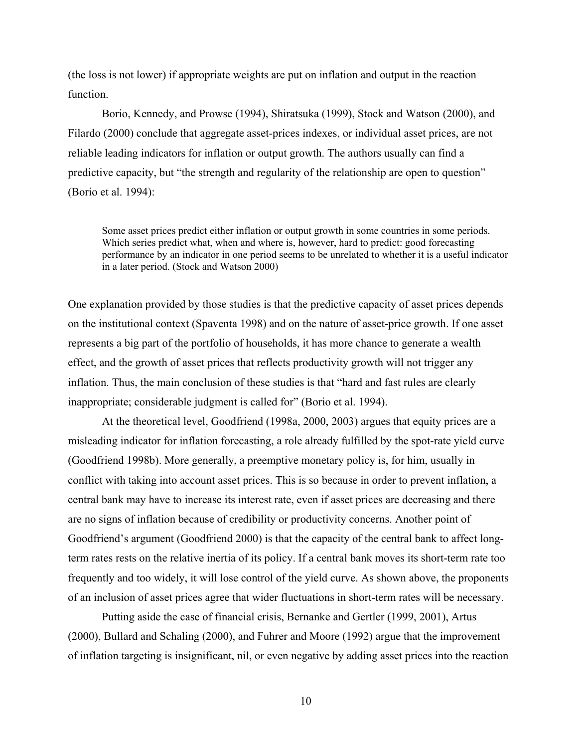(the loss is not lower) if appropriate weights are put on inflation and output in the reaction function.

Borio, Kennedy, and Prowse (1994), Shiratsuka (1999), Stock and Watson (2000), and Filardo (2000) conclude that aggregate asset-prices indexes, or individual asset prices, are not reliable leading indicators for inflation or output growth. The authors usually can find a predictive capacity, but "the strength and regularity of the relationship are open to question" (Borio et al. 1994):

Some asset prices predict either inflation or output growth in some countries in some periods. Which series predict what, when and where is, however, hard to predict: good forecasting performance by an indicator in one period seems to be unrelated to whether it is a useful indicator in a later period. (Stock and Watson 2000)

One explanation provided by those studies is that the predictive capacity of asset prices depends on the institutional context (Spaventa 1998) and on the nature of asset-price growth. If one asset represents a big part of the portfolio of households, it has more chance to generate a wealth effect, and the growth of asset prices that reflects productivity growth will not trigger any inflation. Thus, the main conclusion of these studies is that "hard and fast rules are clearly inappropriate; considerable judgment is called for" (Borio et al. 1994).

At the theoretical level, Goodfriend (1998a, 2000, 2003) argues that equity prices are a misleading indicator for inflation forecasting, a role already fulfilled by the spot-rate yield curve (Goodfriend 1998b). More generally, a preemptive monetary policy is, for him, usually in conflict with taking into account asset prices. This is so because in order to prevent inflation, a central bank may have to increase its interest rate, even if asset prices are decreasing and there are no signs of inflation because of credibility or productivity concerns. Another point of Goodfriend's argument (Goodfriend 2000) is that the capacity of the central bank to affect longterm rates rests on the relative inertia of its policy. If a central bank moves its short-term rate too frequently and too widely, it will lose control of the yield curve. As shown above, the proponents of an inclusion of asset prices agree that wider fluctuations in short-term rates will be necessary.

Putting aside the case of financial crisis, Bernanke and Gertler (1999, 2001), Artus (2000), Bullard and Schaling (2000), and Fuhrer and Moore (1992) argue that the improvement of inflation targeting is insignificant, nil, or even negative by adding asset prices into the reaction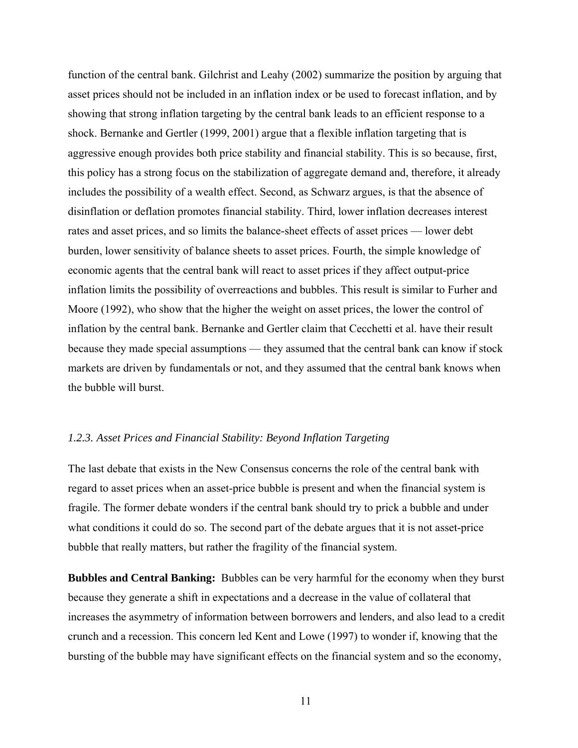function of the central bank. Gilchrist and Leahy (2002) summarize the position by arguing that asset prices should not be included in an inflation index or be used to forecast inflation, and by showing that strong inflation targeting by the central bank leads to an efficient response to a shock. Bernanke and Gertler (1999, 2001) argue that a flexible inflation targeting that is aggressive enough provides both price stability and financial stability. This is so because, first, this policy has a strong focus on the stabilization of aggregate demand and, therefore, it already includes the possibility of a wealth effect. Second, as Schwarz argues, is that the absence of disinflation or deflation promotes financial stability. Third, lower inflation decreases interest rates and asset prices, and so limits the balance-sheet effects of asset prices — lower debt burden, lower sensitivity of balance sheets to asset prices. Fourth, the simple knowledge of economic agents that the central bank will react to asset prices if they affect output-price inflation limits the possibility of overreactions and bubbles. This result is similar to Furher and Moore (1992), who show that the higher the weight on asset prices, the lower the control of inflation by the central bank. Bernanke and Gertler claim that Cecchetti et al. have their result because they made special assumptions — they assumed that the central bank can know if stock markets are driven by fundamentals or not, and they assumed that the central bank knows when the bubble will burst.

# *1.2.3. Asset Prices and Financial Stability: Beyond Inflation Targeting*

The last debate that exists in the New Consensus concerns the role of the central bank with regard to asset prices when an asset-price bubble is present and when the financial system is fragile. The former debate wonders if the central bank should try to prick a bubble and under what conditions it could do so. The second part of the debate argues that it is not asset-price bubble that really matters, but rather the fragility of the financial system.

**Bubbles and Central Banking:** Bubbles can be very harmful for the economy when they burst because they generate a shift in expectations and a decrease in the value of collateral that increases the asymmetry of information between borrowers and lenders, and also lead to a credit crunch and a recession. This concern led Kent and Lowe (1997) to wonder if, knowing that the bursting of the bubble may have significant effects on the financial system and so the economy,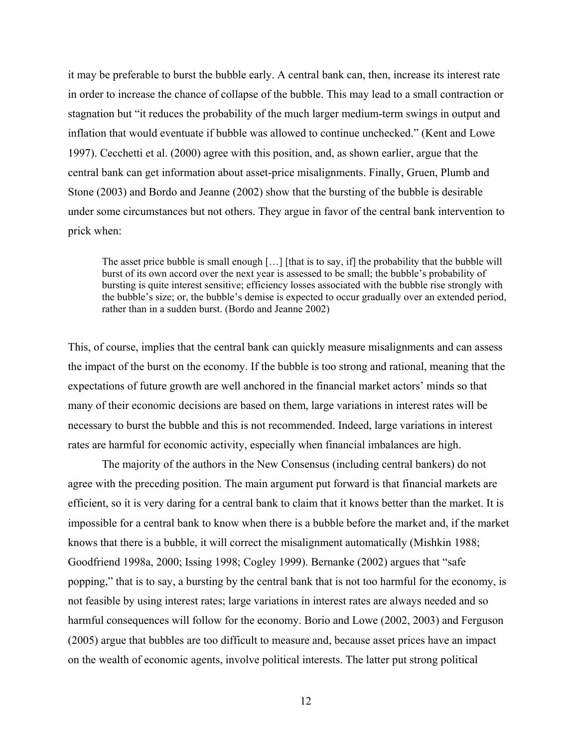it may be preferable to burst the bubble early. A central bank can, then, increase its interest rate in order to increase the chance of collapse of the bubble. This may lead to a small contraction or stagnation but "it reduces the probability of the much larger medium-term swings in output and inflation that would eventuate if bubble was allowed to continue unchecked." (Kent and Lowe 1997). Cecchetti et al. (2000) agree with this position, and, as shown earlier, argue that the central bank can get information about asset-price misalignments. Finally, Gruen, Plumb and Stone (2003) and Bordo and Jeanne (2002) show that the bursting of the bubble is desirable under some circumstances but not others. They argue in favor of the central bank intervention to prick when:

The asset price bubble is small enough […] [that is to say, if] the probability that the bubble will burst of its own accord over the next year is assessed to be small; the bubble's probability of bursting is quite interest sensitive; efficiency losses associated with the bubble rise strongly with the bubble's size; or, the bubble's demise is expected to occur gradually over an extended period, rather than in a sudden burst. (Bordo and Jeanne 2002)

This, of course, implies that the central bank can quickly measure misalignments and can assess the impact of the burst on the economy. If the bubble is too strong and rational, meaning that the expectations of future growth are well anchored in the financial market actors' minds so that many of their economic decisions are based on them, large variations in interest rates will be necessary to burst the bubble and this is not recommended. Indeed, large variations in interest rates are harmful for economic activity, especially when financial imbalances are high.

The majority of the authors in the New Consensus (including central bankers) do not agree with the preceding position. The main argument put forward is that financial markets are efficient, so it is very daring for a central bank to claim that it knows better than the market. It is impossible for a central bank to know when there is a bubble before the market and, if the market knows that there is a bubble, it will correct the misalignment automatically (Mishkin 1988; Goodfriend 1998a, 2000; Issing 1998; Cogley 1999). Bernanke (2002) argues that "safe popping," that is to say, a bursting by the central bank that is not too harmful for the economy, is not feasible by using interest rates; large variations in interest rates are always needed and so harmful consequences will follow for the economy. Borio and Lowe (2002, 2003) and Ferguson (2005) argue that bubbles are too difficult to measure and, because asset prices have an impact on the wealth of economic agents, involve political interests. The latter put strong political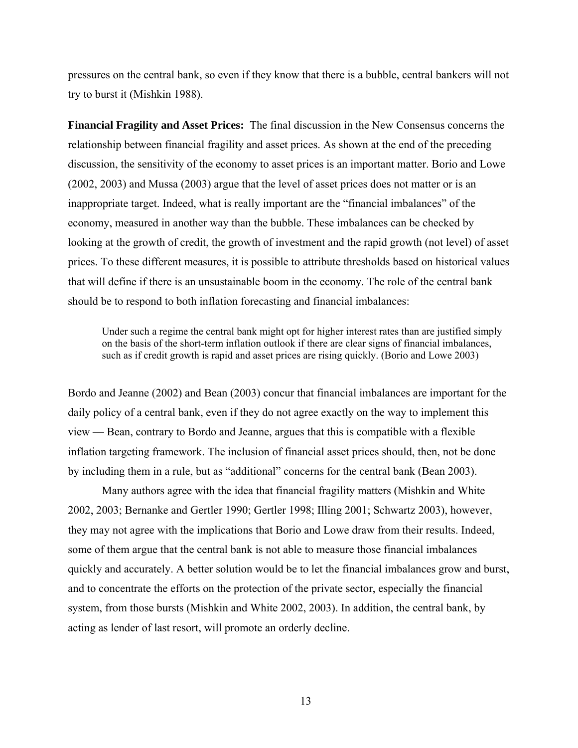pressures on the central bank, so even if they know that there is a bubble, central bankers will not try to burst it (Mishkin 1988).

**Financial Fragility and Asset Prices:** The final discussion in the New Consensus concerns the relationship between financial fragility and asset prices. As shown at the end of the preceding discussion, the sensitivity of the economy to asset prices is an important matter. Borio and Lowe (2002, 2003) and Mussa (2003) argue that the level of asset prices does not matter or is an inappropriate target. Indeed, what is really important are the "financial imbalances" of the economy, measured in another way than the bubble. These imbalances can be checked by looking at the growth of credit, the growth of investment and the rapid growth (not level) of asset prices. To these different measures, it is possible to attribute thresholds based on historical values that will define if there is an unsustainable boom in the economy. The role of the central bank should be to respond to both inflation forecasting and financial imbalances:

Under such a regime the central bank might opt for higher interest rates than are justified simply on the basis of the short-term inflation outlook if there are clear signs of financial imbalances, such as if credit growth is rapid and asset prices are rising quickly. (Borio and Lowe 2003)

Bordo and Jeanne (2002) and Bean (2003) concur that financial imbalances are important for the daily policy of a central bank, even if they do not agree exactly on the way to implement this view — Bean, contrary to Bordo and Jeanne, argues that this is compatible with a flexible inflation targeting framework. The inclusion of financial asset prices should, then, not be done by including them in a rule, but as "additional" concerns for the central bank (Bean 2003).

Many authors agree with the idea that financial fragility matters (Mishkin and White 2002, 2003; Bernanke and Gertler 1990; Gertler 1998; Illing 2001; Schwartz 2003), however, they may not agree with the implications that Borio and Lowe draw from their results. Indeed, some of them argue that the central bank is not able to measure those financial imbalances quickly and accurately. A better solution would be to let the financial imbalances grow and burst, and to concentrate the efforts on the protection of the private sector, especially the financial system, from those bursts (Mishkin and White 2002, 2003). In addition, the central bank, by acting as lender of last resort, will promote an orderly decline.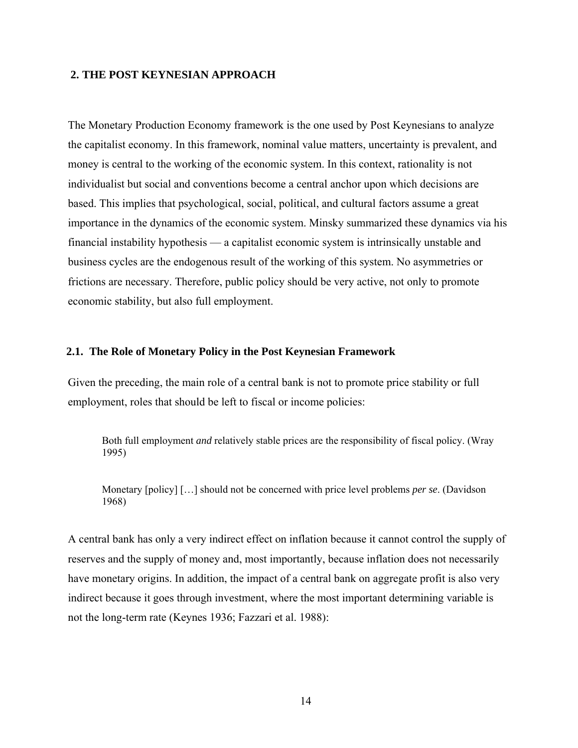# **2. THE POST KEYNESIAN APPROACH**

The Monetary Production Economy framework is the one used by Post Keynesians to analyze the capitalist economy. In this framework, nominal value matters, uncertainty is prevalent, and money is central to the working of the economic system. In this context, rationality is not individualist but social and conventions become a central anchor upon which decisions are based. This implies that psychological, social, political, and cultural factors assume a great importance in the dynamics of the economic system. Minsky summarized these dynamics via his financial instability hypothesis — a capitalist economic system is intrinsically unstable and business cycles are the endogenous result of the working of this system. No asymmetries or frictions are necessary. Therefore, public policy should be very active, not only to promote economic stability, but also full employment.

### **2.1. The Role of Monetary Policy in the Post Keynesian Framework**

Given the preceding, the main role of a central bank is not to promote price stability or full employment, roles that should be left to fiscal or income policies:

Both full employment *and* relatively stable prices are the responsibility of fiscal policy. (Wray 1995)

Monetary [policy] […] should not be concerned with price level problems *per se*. (Davidson 1968)

A central bank has only a very indirect effect on inflation because it cannot control the supply of reserves and the supply of money and, most importantly, because inflation does not necessarily have monetary origins. In addition, the impact of a central bank on aggregate profit is also very indirect because it goes through investment, where the most important determining variable is not the long-term rate (Keynes 1936; Fazzari et al. 1988):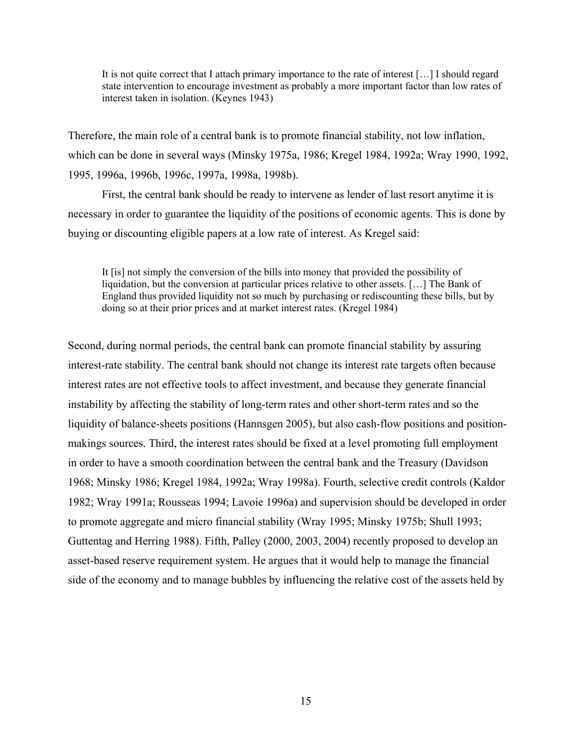It is not quite correct that I attach primary importance to the rate of interest […] I should regard state intervention to encourage investment as probably a more important factor than low rates of interest taken in isolation. (Keynes 1943)

Therefore, the main role of a central bank is to promote financial stability, not low inflation, which can be done in several ways (Minsky 1975a, 1986; Kregel 1984, 1992a; Wray 1990, 1992, 1995, 1996a, 1996b, 1996c, 1997a, 1998a, 1998b).

First, the central bank should be ready to intervene as lender of last resort anytime it is necessary in order to guarantee the liquidity of the positions of economic agents. This is done by buying or discounting eligible papers at a low rate of interest. As Kregel said:

It [is] not simply the conversion of the bills into money that provided the possibility of liquidation, but the conversion at particular prices relative to other assets. […] The Bank of England thus provided liquidity not so much by purchasing or rediscounting these bills, but by doing so at their prior prices and at market interest rates. (Kregel 1984)

Second, during normal periods, the central bank can promote financial stability by assuring interest-rate stability. The central bank should not change its interest rate targets often because interest rates are not effective tools to affect investment, and because they generate financial instability by affecting the stability of long-term rates and other short-term rates and so the liquidity of balance-sheets positions (Hannsgen 2005), but also cash-flow positions and positionmakings sources. Third, the interest rates should be fixed at a level promoting full employment in order to have a smooth coordination between the central bank and the Treasury (Davidson 1968; Minsky 1986; Kregel 1984, 1992a; Wray 1998a). Fourth, selective credit controls (Kaldor 1982; Wray 1991a; Rousseas 1994; Lavoie 1996a) and supervision should be developed in order to promote aggregate and micro financial stability (Wray 1995; Minsky 1975b; Shull 1993; Guttentag and Herring 1988). Fifth, Palley (2000, 2003, 2004) recently proposed to develop an asset-based reserve requirement system. He argues that it would help to manage the financial side of the economy and to manage bubbles by influencing the relative cost of the assets held by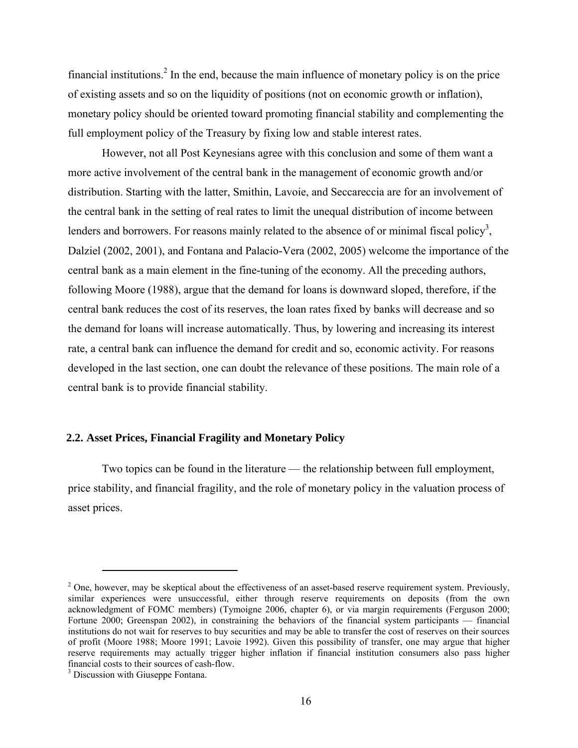financial institutions.<sup>2</sup> In the end, because the main influence of monetary policy is on the price of existing assets and so on the liquidity of positions (not on economic growth or inflation), monetary policy should be oriented toward promoting financial stability and complementing the full employment policy of the Treasury by fixing low and stable interest rates.

However, not all Post Keynesians agree with this conclusion and some of them want a more active involvement of the central bank in the management of economic growth and/or distribution. Starting with the latter, Smithin, Lavoie, and Seccareccia are for an involvement of the central bank in the setting of real rates to limit the unequal distribution of income between lenders and borrowers. For reasons mainly related to the absence of or minimal fiscal policy<sup>3</sup>, Dalziel (2002, 2001), and Fontana and Palacio-Vera (2002, 2005) welcome the importance of the central bank as a main element in the fine-tuning of the economy. All the preceding authors, following Moore (1988), argue that the demand for loans is downward sloped, therefore, if the central bank reduces the cost of its reserves, the loan rates fixed by banks will decrease and so the demand for loans will increase automatically. Thus, by lowering and increasing its interest rate, a central bank can influence the demand for credit and so, economic activity. For reasons developed in the last section, one can doubt the relevance of these positions. The main role of a central bank is to provide financial stability.

# **2.2. Asset Prices, Financial Fragility and Monetary Policy**

Two topics can be found in the literature — the relationship between full employment, price stability, and financial fragility, and the role of monetary policy in the valuation process of asset prices.

 $\overline{a}$ 

 $2^2$  One, however, may be skeptical about the effectiveness of an asset-based reserve requirement system. Previously, similar experiences were unsuccessful, either through reserve requirements on deposits (from the own acknowledgment of FOMC members) (Tymoigne 2006, chapter 6), or via margin requirements (Ferguson 2000; Fortune 2000; Greenspan 2002), in constraining the behaviors of the financial system participants — financial institutions do not wait for reserves to buy securities and may be able to transfer the cost of reserves on their sources of profit (Moore 1988; Moore 1991; Lavoie 1992). Given this possibility of transfer, one may argue that higher reserve requirements may actually trigger higher inflation if financial institution consumers also pass higher financial costs to their sources of cash-flow.

<sup>&</sup>lt;sup>3</sup> Discussion with Giuseppe Fontana.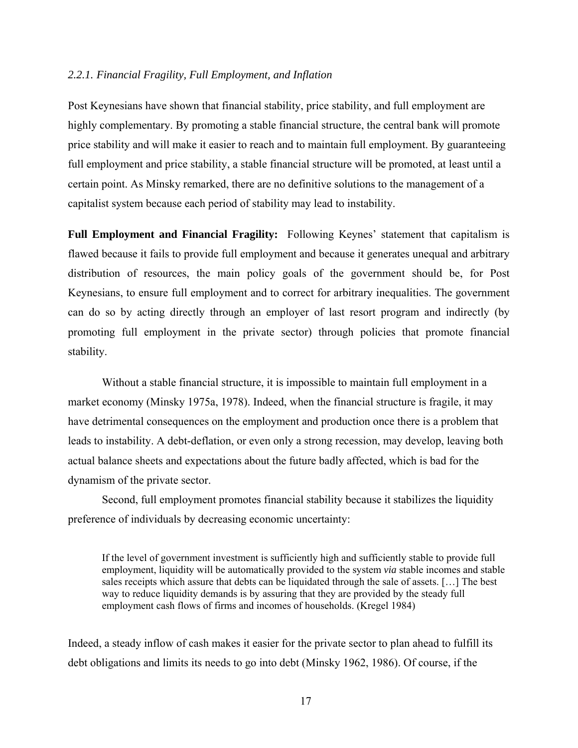### *2.2.1. Financial Fragility, Full Employment, and Inflation*

Post Keynesians have shown that financial stability, price stability, and full employment are highly complementary. By promoting a stable financial structure, the central bank will promote price stability and will make it easier to reach and to maintain full employment. By guaranteeing full employment and price stability, a stable financial structure will be promoted, at least until a certain point. As Minsky remarked, there are no definitive solutions to the management of a capitalist system because each period of stability may lead to instability.

**Full Employment and Financial Fragility:** Following Keynes' statement that capitalism is flawed because it fails to provide full employment and because it generates unequal and arbitrary distribution of resources, the main policy goals of the government should be, for Post Keynesians, to ensure full employment and to correct for arbitrary inequalities. The government can do so by acting directly through an employer of last resort program and indirectly (by promoting full employment in the private sector) through policies that promote financial stability.

Without a stable financial structure, it is impossible to maintain full employment in a market economy (Minsky 1975a, 1978). Indeed, when the financial structure is fragile, it may have detrimental consequences on the employment and production once there is a problem that leads to instability. A debt-deflation, or even only a strong recession, may develop, leaving both actual balance sheets and expectations about the future badly affected, which is bad for the dynamism of the private sector.

Second, full employment promotes financial stability because it stabilizes the liquidity preference of individuals by decreasing economic uncertainty:

If the level of government investment is sufficiently high and sufficiently stable to provide full employment, liquidity will be automatically provided to the system *via* stable incomes and stable sales receipts which assure that debts can be liquidated through the sale of assets. […] The best way to reduce liquidity demands is by assuring that they are provided by the steady full employment cash flows of firms and incomes of households. (Kregel 1984)

Indeed, a steady inflow of cash makes it easier for the private sector to plan ahead to fulfill its debt obligations and limits its needs to go into debt (Minsky 1962, 1986). Of course, if the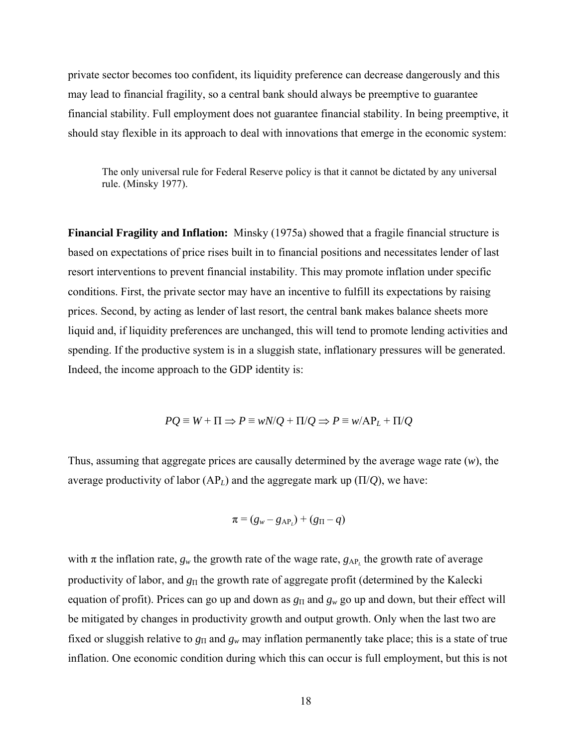private sector becomes too confident, its liquidity preference can decrease dangerously and this may lead to financial fragility, so a central bank should always be preemptive to guarantee financial stability. Full employment does not guarantee financial stability. In being preemptive, it should stay flexible in its approach to deal with innovations that emerge in the economic system:

The only universal rule for Federal Reserve policy is that it cannot be dictated by any universal rule. (Minsky 1977).

**Financial Fragility and Inflation:** Minsky (1975a) showed that a fragile financial structure is based on expectations of price rises built in to financial positions and necessitates lender of last resort interventions to prevent financial instability. This may promote inflation under specific conditions. First, the private sector may have an incentive to fulfill its expectations by raising prices. Second, by acting as lender of last resort, the central bank makes balance sheets more liquid and, if liquidity preferences are unchanged, this will tend to promote lending activities and spending. If the productive system is in a sluggish state, inflationary pressures will be generated. Indeed, the income approach to the GDP identity is:

$$
PQ \equiv W + \Pi \Rightarrow P \equiv wN/Q + \Pi/Q \Rightarrow P \equiv w/AP_L + \Pi/Q
$$

Thus, assuming that aggregate prices are causally determined by the average wage rate (*w*), the average productivity of labor  $AP<sub>L</sub>$ ) and the aggregate mark up  $(\Pi/Q)$ , we have:

$$
\pi = (g_w - g_{AP_L}) + (g_{\Pi} - q)
$$

with  $\pi$  the inflation rate,  $g_w$  the growth rate of the wage rate,  $g_{AP_L}$  the growth rate of average productivity of labor, and *g*Π the growth rate of aggregate profit (determined by the Kalecki equation of profit). Prices can go up and down as  $g_{\Pi}$  and  $g_w$  go up and down, but their effect will be mitigated by changes in productivity growth and output growth. Only when the last two are fixed or sluggish relative to  $g_{\Pi}$  and  $g_w$  may inflation permanently take place; this is a state of true inflation. One economic condition during which this can occur is full employment, but this is not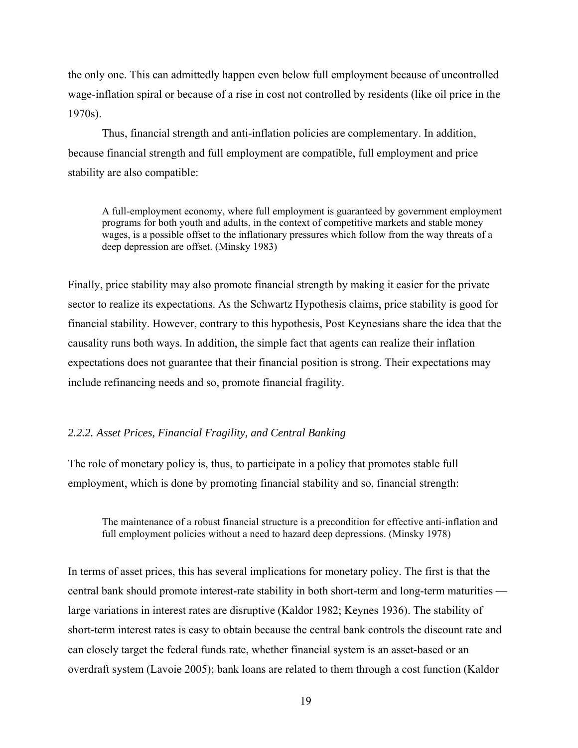the only one. This can admittedly happen even below full employment because of uncontrolled wage-inflation spiral or because of a rise in cost not controlled by residents (like oil price in the 1970s).

Thus, financial strength and anti-inflation policies are complementary. In addition, because financial strength and full employment are compatible, full employment and price stability are also compatible:

A full-employment economy, where full employment is guaranteed by government employment programs for both youth and adults, in the context of competitive markets and stable money wages, is a possible offset to the inflationary pressures which follow from the way threats of a deep depression are offset. (Minsky 1983)

Finally, price stability may also promote financial strength by making it easier for the private sector to realize its expectations. As the Schwartz Hypothesis claims, price stability is good for financial stability. However, contrary to this hypothesis, Post Keynesians share the idea that the causality runs both ways. In addition, the simple fact that agents can realize their inflation expectations does not guarantee that their financial position is strong. Their expectations may include refinancing needs and so, promote financial fragility.

# *2.2.2. Asset Prices, Financial Fragility, and Central Banking*

The role of monetary policy is, thus, to participate in a policy that promotes stable full employment, which is done by promoting financial stability and so, financial strength:

The maintenance of a robust financial structure is a precondition for effective anti-inflation and full employment policies without a need to hazard deep depressions. (Minsky 1978)

In terms of asset prices, this has several implications for monetary policy. The first is that the central bank should promote interest-rate stability in both short-term and long-term maturities large variations in interest rates are disruptive (Kaldor 1982; Keynes 1936). The stability of short-term interest rates is easy to obtain because the central bank controls the discount rate and can closely target the federal funds rate, whether financial system is an asset-based or an overdraft system (Lavoie 2005); bank loans are related to them through a cost function (Kaldor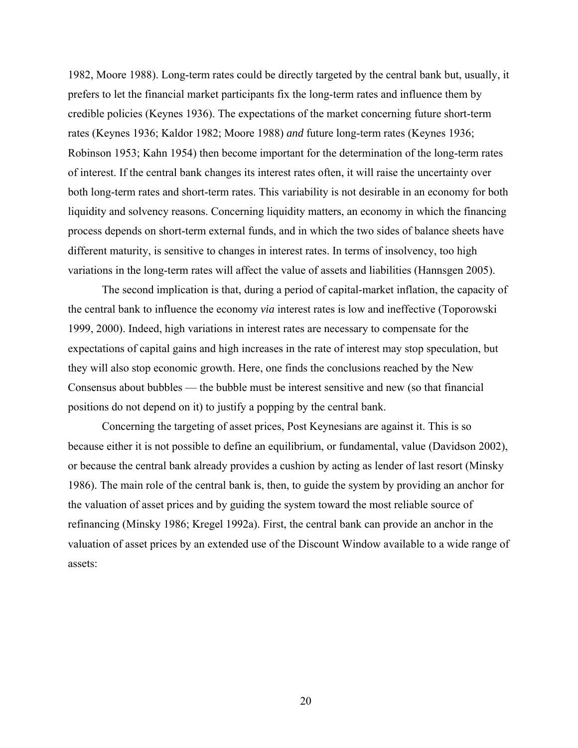1982, Moore 1988). Long-term rates could be directly targeted by the central bank but, usually, it prefers to let the financial market participants fix the long-term rates and influence them by credible policies (Keynes 1936). The expectations of the market concerning future short-term rates (Keynes 1936; Kaldor 1982; Moore 1988) *and* future long-term rates (Keynes 1936; Robinson 1953; Kahn 1954) then become important for the determination of the long-term rates of interest. If the central bank changes its interest rates often, it will raise the uncertainty over both long-term rates and short-term rates. This variability is not desirable in an economy for both liquidity and solvency reasons. Concerning liquidity matters, an economy in which the financing process depends on short-term external funds, and in which the two sides of balance sheets have different maturity, is sensitive to changes in interest rates. In terms of insolvency, too high variations in the long-term rates will affect the value of assets and liabilities (Hannsgen 2005).

The second implication is that, during a period of capital-market inflation, the capacity of the central bank to influence the economy *via* interest rates is low and ineffective (Toporowski 1999, 2000). Indeed, high variations in interest rates are necessary to compensate for the expectations of capital gains and high increases in the rate of interest may stop speculation, but they will also stop economic growth. Here, one finds the conclusions reached by the New Consensus about bubbles — the bubble must be interest sensitive and new (so that financial positions do not depend on it) to justify a popping by the central bank.

Concerning the targeting of asset prices, Post Keynesians are against it. This is so because either it is not possible to define an equilibrium, or fundamental, value (Davidson 2002), or because the central bank already provides a cushion by acting as lender of last resort (Minsky 1986). The main role of the central bank is, then, to guide the system by providing an anchor for the valuation of asset prices and by guiding the system toward the most reliable source of refinancing (Minsky 1986; Kregel 1992a). First, the central bank can provide an anchor in the valuation of asset prices by an extended use of the Discount Window available to a wide range of assets: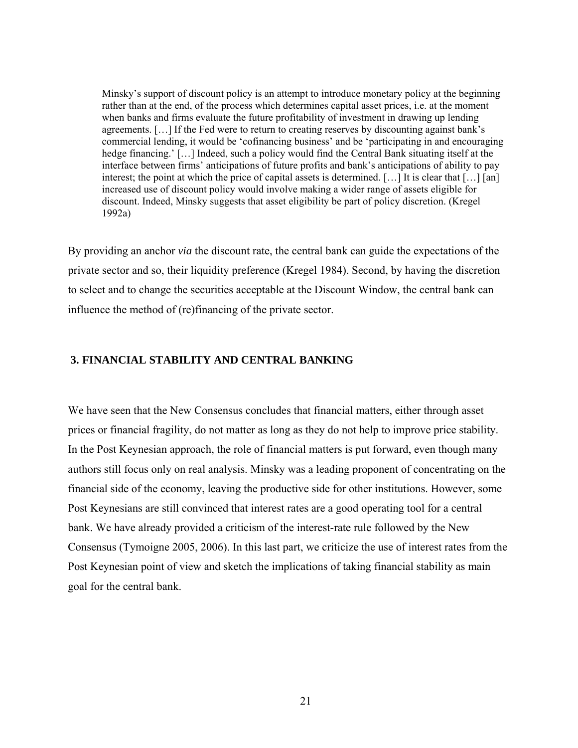Minsky's support of discount policy is an attempt to introduce monetary policy at the beginning rather than at the end, of the process which determines capital asset prices, i.e. at the moment when banks and firms evaluate the future profitability of investment in drawing up lending agreements. […] If the Fed were to return to creating reserves by discounting against bank's commercial lending, it would be 'cofinancing business' and be 'participating in and encouraging hedge financing.' [...] Indeed, such a policy would find the Central Bank situating itself at the interface between firms' anticipations of future profits and bank's anticipations of ability to pay interest; the point at which the price of capital assets is determined. […] It is clear that […] [an] increased use of discount policy would involve making a wider range of assets eligible for discount. Indeed, Minsky suggests that asset eligibility be part of policy discretion. (Kregel 1992a)

By providing an anchor *via* the discount rate, the central bank can guide the expectations of the private sector and so, their liquidity preference (Kregel 1984). Second, by having the discretion to select and to change the securities acceptable at the Discount Window, the central bank can influence the method of (re)financing of the private sector.

# **3. FINANCIAL STABILITY AND CENTRAL BANKING**

We have seen that the New Consensus concludes that financial matters, either through asset prices or financial fragility, do not matter as long as they do not help to improve price stability. In the Post Keynesian approach, the role of financial matters is put forward, even though many authors still focus only on real analysis. Minsky was a leading proponent of concentrating on the financial side of the economy, leaving the productive side for other institutions. However, some Post Keynesians are still convinced that interest rates are a good operating tool for a central bank. We have already provided a criticism of the interest-rate rule followed by the New Consensus (Tymoigne 2005, 2006). In this last part, we criticize the use of interest rates from the Post Keynesian point of view and sketch the implications of taking financial stability as main goal for the central bank.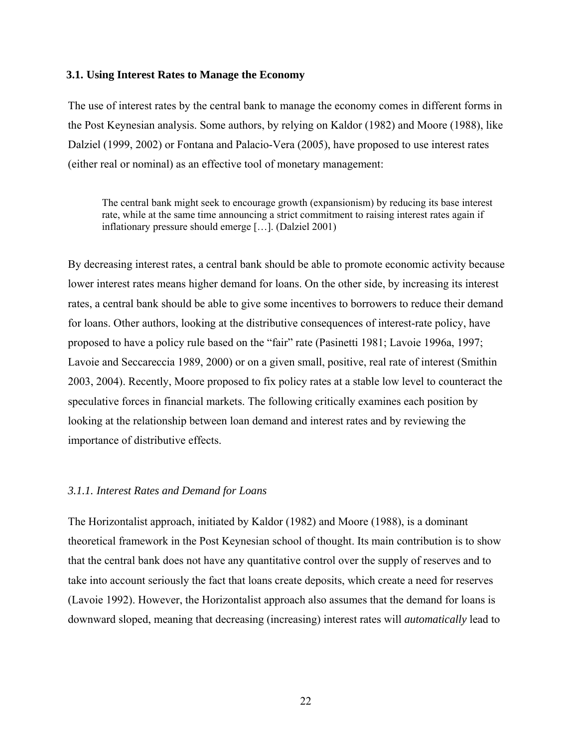### **3.1. Using Interest Rates to Manage the Economy**

The use of interest rates by the central bank to manage the economy comes in different forms in the Post Keynesian analysis. Some authors, by relying on Kaldor (1982) and Moore (1988), like Dalziel (1999, 2002) or Fontana and Palacio-Vera (2005), have proposed to use interest rates (either real or nominal) as an effective tool of monetary management:

The central bank might seek to encourage growth (expansionism) by reducing its base interest rate, while at the same time announcing a strict commitment to raising interest rates again if inflationary pressure should emerge […]. (Dalziel 2001)

By decreasing interest rates, a central bank should be able to promote economic activity because lower interest rates means higher demand for loans. On the other side, by increasing its interest rates, a central bank should be able to give some incentives to borrowers to reduce their demand for loans. Other authors, looking at the distributive consequences of interest-rate policy, have proposed to have a policy rule based on the "fair" rate (Pasinetti 1981; Lavoie 1996a, 1997; Lavoie and Seccareccia 1989, 2000) or on a given small, positive, real rate of interest (Smithin 2003, 2004). Recently, Moore proposed to fix policy rates at a stable low level to counteract the speculative forces in financial markets. The following critically examines each position by looking at the relationship between loan demand and interest rates and by reviewing the importance of distributive effects.

#### *3.1.1. Interest Rates and Demand for Loans*

The Horizontalist approach, initiated by Kaldor (1982) and Moore (1988), is a dominant theoretical framework in the Post Keynesian school of thought. Its main contribution is to show that the central bank does not have any quantitative control over the supply of reserves and to take into account seriously the fact that loans create deposits, which create a need for reserves (Lavoie 1992). However, the Horizontalist approach also assumes that the demand for loans is downward sloped, meaning that decreasing (increasing) interest rates will *automatically* lead to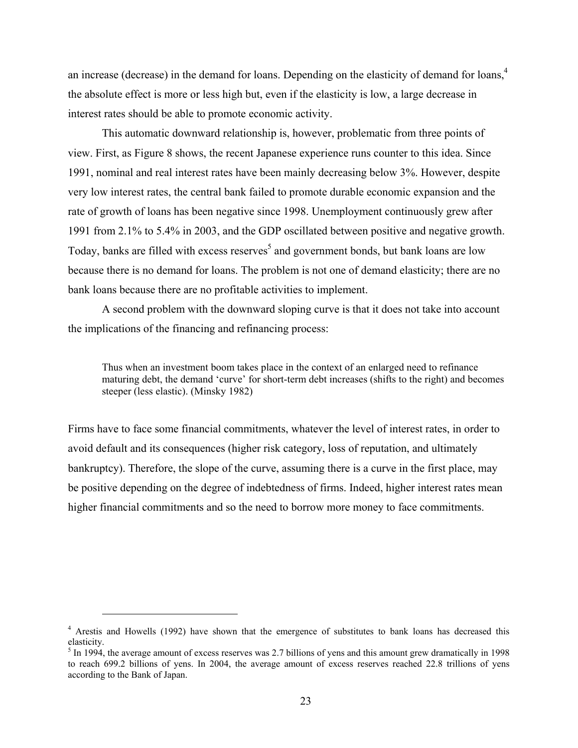an increase (decrease) in the demand for loans. Depending on the elasticity of demand for loans,<sup>4</sup> the absolute effect is more or less high but, even if the elasticity is low, a large decrease in interest rates should be able to promote economic activity.

This automatic downward relationship is, however, problematic from three points of view. First, as Figure 8 shows, the recent Japanese experience runs counter to this idea. Since 1991, nominal and real interest rates have been mainly decreasing below 3%. However, despite very low interest rates, the central bank failed to promote durable economic expansion and the rate of growth of loans has been negative since 1998. Unemployment continuously grew after 1991 from 2.1% to 5.4% in 2003, and the GDP oscillated between positive and negative growth. Today, banks are filled with excess reserves<sup>5</sup> and government bonds, but bank loans are low because there is no demand for loans. The problem is not one of demand elasticity; there are no bank loans because there are no profitable activities to implement.

A second problem with the downward sloping curve is that it does not take into account the implications of the financing and refinancing process:

Thus when an investment boom takes place in the context of an enlarged need to refinance maturing debt, the demand 'curve' for short-term debt increases (shifts to the right) and becomes steeper (less elastic). (Minsky 1982)

Firms have to face some financial commitments, whatever the level of interest rates, in order to avoid default and its consequences (higher risk category, loss of reputation, and ultimately bankruptcy). Therefore, the slope of the curve, assuming there is a curve in the first place, may be positive depending on the degree of indebtedness of firms. Indeed, higher interest rates mean higher financial commitments and so the need to borrow more money to face commitments.

 $\overline{a}$ 

<sup>&</sup>lt;sup>4</sup> Arestis and Howells (1992) have shown that the emergence of substitutes to bank loans has decreased this elasticity.

 $<sup>5</sup>$  In 1994, the average amount of excess reserves was 2.7 billions of yens and this amount grew dramatically in 1998</sup> to reach 699.2 billions of yens. In 2004, the average amount of excess reserves reached 22.8 trillions of yens according to the Bank of Japan.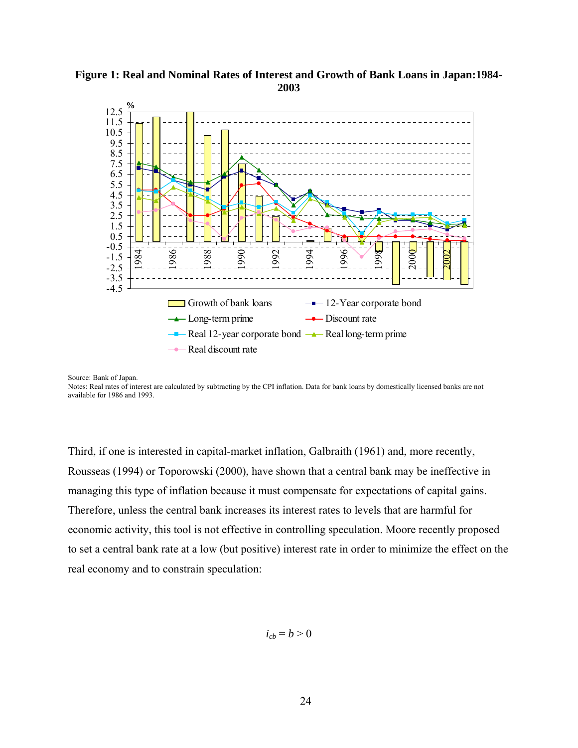

# **Figure 1: Real and Nominal Rates of Interest and Growth of Bank Loans in Japan:1984- 2003**

Source: Bank of Japan.

Notes: Real rates of interest are calculated by subtracting by the CPI inflation. Data for bank loans by domestically licensed banks are not available for 1986 and 1993.

Third, if one is interested in capital-market inflation, Galbraith (1961) and, more recently, Rousseas (1994) or Toporowski (2000), have shown that a central bank may be ineffective in managing this type of inflation because it must compensate for expectations of capital gains. Therefore, unless the central bank increases its interest rates to levels that are harmful for economic activity, this tool is not effective in controlling speculation. Moore recently proposed to set a central bank rate at a low (but positive) interest rate in order to minimize the effect on the real economy and to constrain speculation:

 $i_{ch} = b > 0$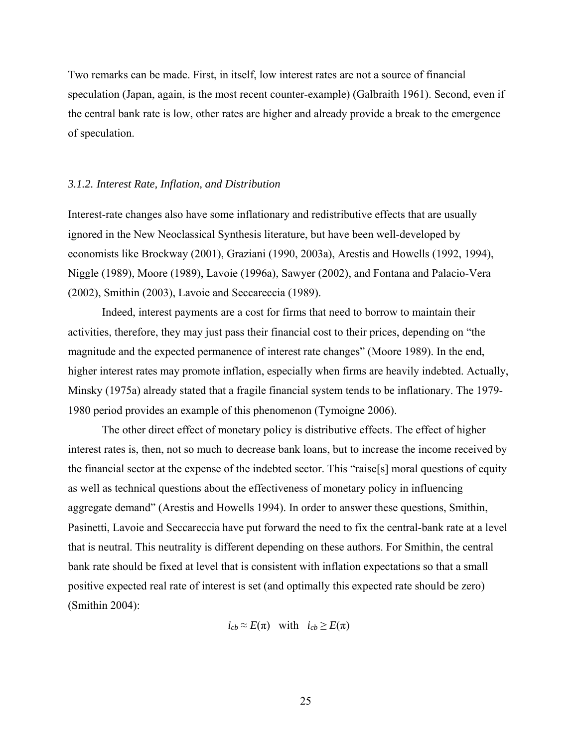Two remarks can be made. First, in itself, low interest rates are not a source of financial speculation (Japan, again, is the most recent counter-example) (Galbraith 1961). Second, even if the central bank rate is low, other rates are higher and already provide a break to the emergence of speculation.

# *3.1.2. Interest Rate, Inflation, and Distribution*

Interest-rate changes also have some inflationary and redistributive effects that are usually ignored in the New Neoclassical Synthesis literature, but have been well-developed by economists like Brockway (2001), Graziani (1990, 2003a), Arestis and Howells (1992, 1994), Niggle (1989), Moore (1989), Lavoie (1996a), Sawyer (2002), and Fontana and Palacio-Vera (2002), Smithin (2003), Lavoie and Seccareccia (1989).

Indeed, interest payments are a cost for firms that need to borrow to maintain their activities, therefore, they may just pass their financial cost to their prices, depending on "the magnitude and the expected permanence of interest rate changes" (Moore 1989). In the end, higher interest rates may promote inflation, especially when firms are heavily indebted. Actually, Minsky (1975a) already stated that a fragile financial system tends to be inflationary. The 1979- 1980 period provides an example of this phenomenon (Tymoigne 2006).

The other direct effect of monetary policy is distributive effects. The effect of higher interest rates is, then, not so much to decrease bank loans, but to increase the income received by the financial sector at the expense of the indebted sector. This "raise[s] moral questions of equity as well as technical questions about the effectiveness of monetary policy in influencing aggregate demand" (Arestis and Howells 1994). In order to answer these questions, Smithin, Pasinetti, Lavoie and Seccareccia have put forward the need to fix the central-bank rate at a level that is neutral. This neutrality is different depending on these authors. For Smithin, the central bank rate should be fixed at level that is consistent with inflation expectations so that a small positive expected real rate of interest is set (and optimally this expected rate should be zero) (Smithin 2004):

 $i_{ch} \approx E(\pi)$  with  $i_{ch} \ge E(\pi)$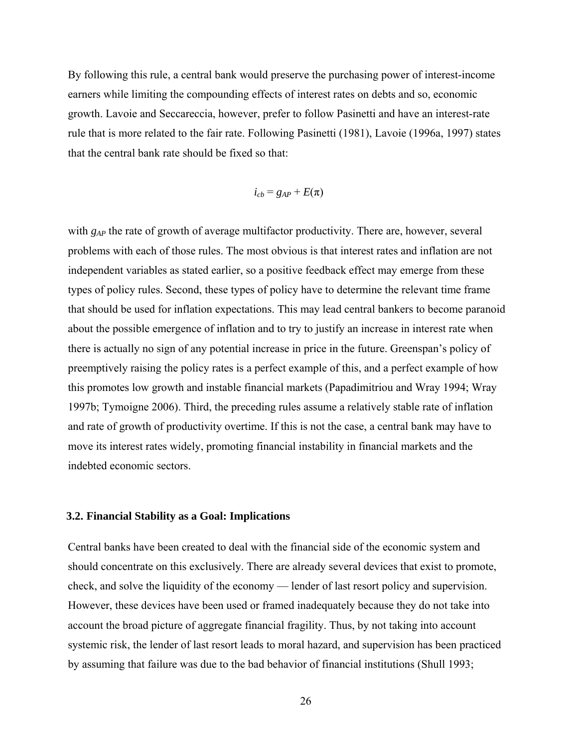By following this rule, a central bank would preserve the purchasing power of interest-income earners while limiting the compounding effects of interest rates on debts and so, economic growth. Lavoie and Seccareccia, however, prefer to follow Pasinetti and have an interest-rate rule that is more related to the fair rate. Following Pasinetti (1981), Lavoie (1996a, 1997) states that the central bank rate should be fixed so that:

$$
i_{cb} = g_{AP} + E(\pi)
$$

with *g<sub>AP</sub>* the rate of growth of average multifactor productivity. There are, however, several problems with each of those rules. The most obvious is that interest rates and inflation are not independent variables as stated earlier, so a positive feedback effect may emerge from these types of policy rules. Second, these types of policy have to determine the relevant time frame that should be used for inflation expectations. This may lead central bankers to become paranoid about the possible emergence of inflation and to try to justify an increase in interest rate when there is actually no sign of any potential increase in price in the future. Greenspan's policy of preemptively raising the policy rates is a perfect example of this, and a perfect example of how this promotes low growth and instable financial markets (Papadimitriou and Wray 1994; Wray 1997b; Tymoigne 2006). Third, the preceding rules assume a relatively stable rate of inflation and rate of growth of productivity overtime. If this is not the case, a central bank may have to move its interest rates widely, promoting financial instability in financial markets and the indebted economic sectors.

### **3.2. Financial Stability as a Goal: Implications**

Central banks have been created to deal with the financial side of the economic system and should concentrate on this exclusively. There are already several devices that exist to promote, check, and solve the liquidity of the economy — lender of last resort policy and supervision. However, these devices have been used or framed inadequately because they do not take into account the broad picture of aggregate financial fragility. Thus, by not taking into account systemic risk, the lender of last resort leads to moral hazard, and supervision has been practiced by assuming that failure was due to the bad behavior of financial institutions (Shull 1993;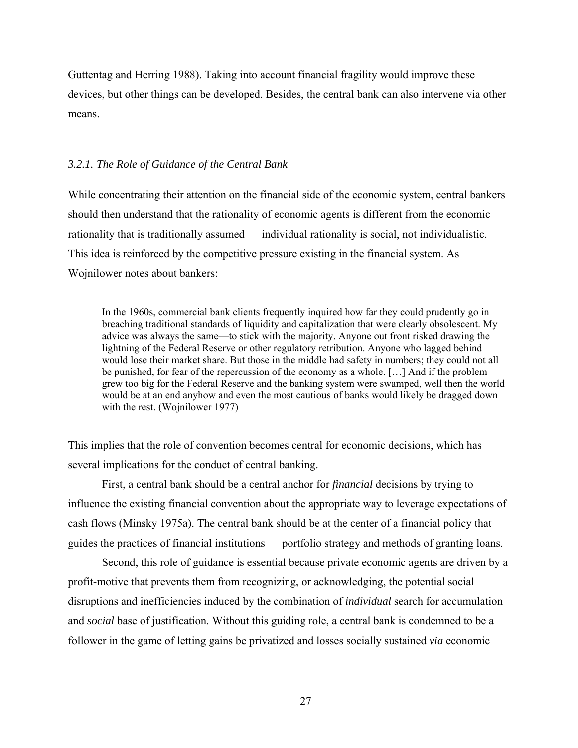Guttentag and Herring 1988). Taking into account financial fragility would improve these devices, but other things can be developed. Besides, the central bank can also intervene via other means.

### *3.2.1. The Role of Guidance of the Central Bank*

While concentrating their attention on the financial side of the economic system, central bankers should then understand that the rationality of economic agents is different from the economic rationality that is traditionally assumed — individual rationality is social, not individualistic. This idea is reinforced by the competitive pressure existing in the financial system. As Wojnilower notes about bankers:

In the 1960s, commercial bank clients frequently inquired how far they could prudently go in breaching traditional standards of liquidity and capitalization that were clearly obsolescent. My advice was always the same—to stick with the majority. Anyone out front risked drawing the lightning of the Federal Reserve or other regulatory retribution. Anyone who lagged behind would lose their market share. But those in the middle had safety in numbers; they could not all be punished, for fear of the repercussion of the economy as a whole. […] And if the problem grew too big for the Federal Reserve and the banking system were swamped, well then the world would be at an end anyhow and even the most cautious of banks would likely be dragged down with the rest. (Wojnilower 1977)

This implies that the role of convention becomes central for economic decisions, which has several implications for the conduct of central banking.

First, a central bank should be a central anchor for *financial* decisions by trying to influence the existing financial convention about the appropriate way to leverage expectations of cash flows (Minsky 1975a). The central bank should be at the center of a financial policy that guides the practices of financial institutions — portfolio strategy and methods of granting loans.

Second, this role of guidance is essential because private economic agents are driven by a profit-motive that prevents them from recognizing, or acknowledging, the potential social disruptions and inefficiencies induced by the combination of *individual* search for accumulation and *social* base of justification. Without this guiding role, a central bank is condemned to be a follower in the game of letting gains be privatized and losses socially sustained *via* economic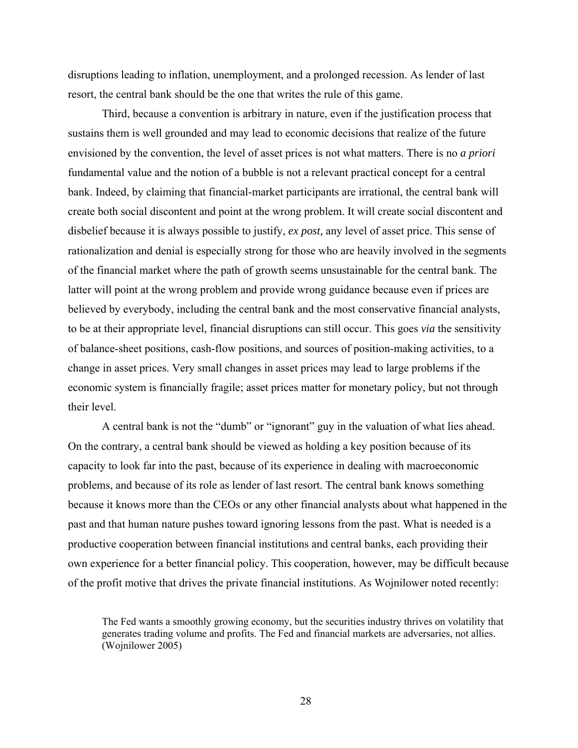disruptions leading to inflation, unemployment, and a prolonged recession. As lender of last resort, the central bank should be the one that writes the rule of this game.

Third, because a convention is arbitrary in nature, even if the justification process that sustains them is well grounded and may lead to economic decisions that realize of the future envisioned by the convention, the level of asset prices is not what matters. There is no *a priori* fundamental value and the notion of a bubble is not a relevant practical concept for a central bank. Indeed, by claiming that financial-market participants are irrational, the central bank will create both social discontent and point at the wrong problem. It will create social discontent and disbelief because it is always possible to justify, *ex post,* any level of asset price. This sense of rationalization and denial is especially strong for those who are heavily involved in the segments of the financial market where the path of growth seems unsustainable for the central bank. The latter will point at the wrong problem and provide wrong guidance because even if prices are believed by everybody, including the central bank and the most conservative financial analysts, to be at their appropriate level, financial disruptions can still occur. This goes *via* the sensitivity of balance-sheet positions, cash-flow positions, and sources of position-making activities, to a change in asset prices. Very small changes in asset prices may lead to large problems if the economic system is financially fragile; asset prices matter for monetary policy, but not through their level.

A central bank is not the "dumb" or "ignorant" guy in the valuation of what lies ahead. On the contrary, a central bank should be viewed as holding a key position because of its capacity to look far into the past, because of its experience in dealing with macroeconomic problems, and because of its role as lender of last resort. The central bank knows something because it knows more than the CEOs or any other financial analysts about what happened in the past and that human nature pushes toward ignoring lessons from the past. What is needed is a productive cooperation between financial institutions and central banks, each providing their own experience for a better financial policy. This cooperation, however, may be difficult because of the profit motive that drives the private financial institutions. As Wojnilower noted recently:

The Fed wants a smoothly growing economy, but the securities industry thrives on volatility that generates trading volume and profits. The Fed and financial markets are adversaries, not allies. (Wojnilower 2005)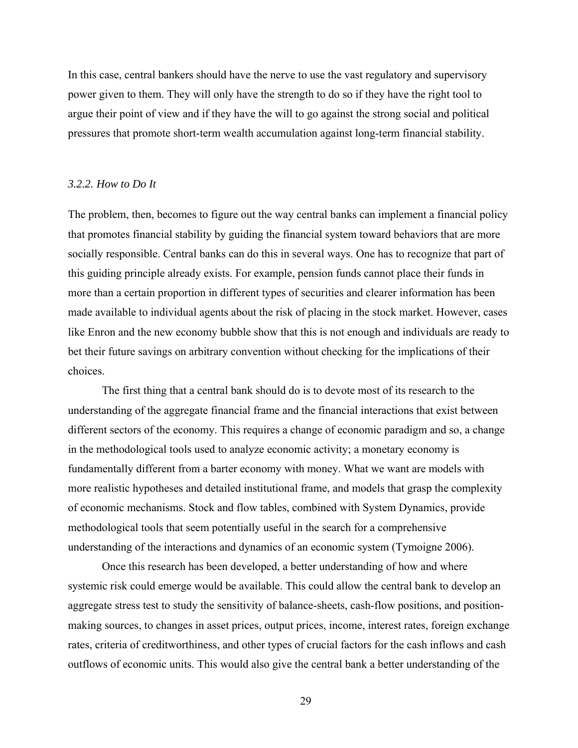In this case, central bankers should have the nerve to use the vast regulatory and supervisory power given to them. They will only have the strength to do so if they have the right tool to argue their point of view and if they have the will to go against the strong social and political pressures that promote short-term wealth accumulation against long-term financial stability.

### *3.2.2. How to Do It*

The problem, then, becomes to figure out the way central banks can implement a financial policy that promotes financial stability by guiding the financial system toward behaviors that are more socially responsible. Central banks can do this in several ways. One has to recognize that part of this guiding principle already exists. For example, pension funds cannot place their funds in more than a certain proportion in different types of securities and clearer information has been made available to individual agents about the risk of placing in the stock market. However, cases like Enron and the new economy bubble show that this is not enough and individuals are ready to bet their future savings on arbitrary convention without checking for the implications of their choices.

The first thing that a central bank should do is to devote most of its research to the understanding of the aggregate financial frame and the financial interactions that exist between different sectors of the economy. This requires a change of economic paradigm and so, a change in the methodological tools used to analyze economic activity; a monetary economy is fundamentally different from a barter economy with money. What we want are models with more realistic hypotheses and detailed institutional frame, and models that grasp the complexity of economic mechanisms. Stock and flow tables, combined with System Dynamics, provide methodological tools that seem potentially useful in the search for a comprehensive understanding of the interactions and dynamics of an economic system (Tymoigne 2006).

Once this research has been developed, a better understanding of how and where systemic risk could emerge would be available. This could allow the central bank to develop an aggregate stress test to study the sensitivity of balance-sheets, cash-flow positions, and positionmaking sources, to changes in asset prices, output prices, income, interest rates, foreign exchange rates, criteria of creditworthiness, and other types of crucial factors for the cash inflows and cash outflows of economic units. This would also give the central bank a better understanding of the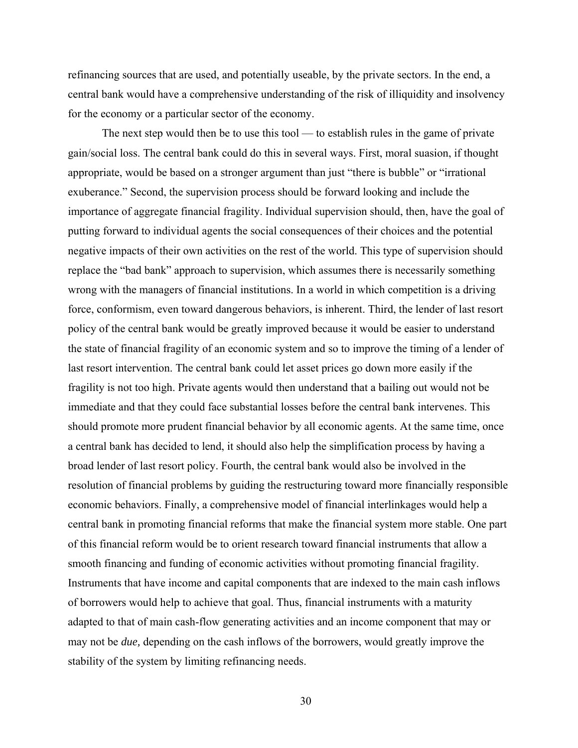refinancing sources that are used, and potentially useable, by the private sectors. In the end, a central bank would have a comprehensive understanding of the risk of illiquidity and insolvency for the economy or a particular sector of the economy.

The next step would then be to use this tool — to establish rules in the game of private gain/social loss. The central bank could do this in several ways. First, moral suasion, if thought appropriate, would be based on a stronger argument than just "there is bubble" or "irrational exuberance." Second, the supervision process should be forward looking and include the importance of aggregate financial fragility. Individual supervision should, then, have the goal of putting forward to individual agents the social consequences of their choices and the potential negative impacts of their own activities on the rest of the world. This type of supervision should replace the "bad bank" approach to supervision, which assumes there is necessarily something wrong with the managers of financial institutions. In a world in which competition is a driving force, conformism, even toward dangerous behaviors, is inherent. Third, the lender of last resort policy of the central bank would be greatly improved because it would be easier to understand the state of financial fragility of an economic system and so to improve the timing of a lender of last resort intervention. The central bank could let asset prices go down more easily if the fragility is not too high. Private agents would then understand that a bailing out would not be immediate and that they could face substantial losses before the central bank intervenes. This should promote more prudent financial behavior by all economic agents. At the same time, once a central bank has decided to lend, it should also help the simplification process by having a broad lender of last resort policy. Fourth, the central bank would also be involved in the resolution of financial problems by guiding the restructuring toward more financially responsible economic behaviors. Finally, a comprehensive model of financial interlinkages would help a central bank in promoting financial reforms that make the financial system more stable. One part of this financial reform would be to orient research toward financial instruments that allow a smooth financing and funding of economic activities without promoting financial fragility. Instruments that have income and capital components that are indexed to the main cash inflows of borrowers would help to achieve that goal. Thus, financial instruments with a maturity adapted to that of main cash-flow generating activities and an income component that may or may not be *due,* depending on the cash inflows of the borrowers, would greatly improve the stability of the system by limiting refinancing needs.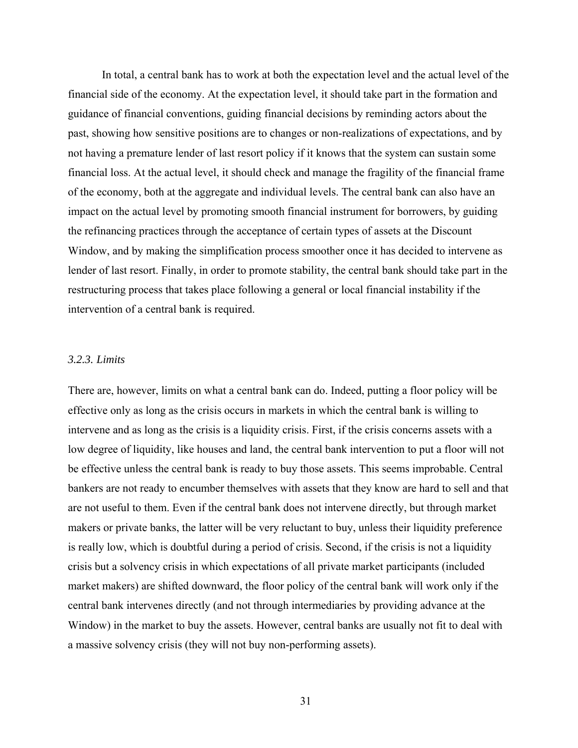In total, a central bank has to work at both the expectation level and the actual level of the financial side of the economy. At the expectation level, it should take part in the formation and guidance of financial conventions, guiding financial decisions by reminding actors about the past, showing how sensitive positions are to changes or non-realizations of expectations, and by not having a premature lender of last resort policy if it knows that the system can sustain some financial loss. At the actual level, it should check and manage the fragility of the financial frame of the economy, both at the aggregate and individual levels. The central bank can also have an impact on the actual level by promoting smooth financial instrument for borrowers, by guiding the refinancing practices through the acceptance of certain types of assets at the Discount Window, and by making the simplification process smoother once it has decided to intervene as lender of last resort. Finally, in order to promote stability, the central bank should take part in the restructuring process that takes place following a general or local financial instability if the intervention of a central bank is required.

### *3.2.3. Limits*

There are, however, limits on what a central bank can do. Indeed, putting a floor policy will be effective only as long as the crisis occurs in markets in which the central bank is willing to intervene and as long as the crisis is a liquidity crisis. First, if the crisis concerns assets with a low degree of liquidity, like houses and land, the central bank intervention to put a floor will not be effective unless the central bank is ready to buy those assets. This seems improbable. Central bankers are not ready to encumber themselves with assets that they know are hard to sell and that are not useful to them. Even if the central bank does not intervene directly, but through market makers or private banks, the latter will be very reluctant to buy, unless their liquidity preference is really low, which is doubtful during a period of crisis. Second, if the crisis is not a liquidity crisis but a solvency crisis in which expectations of all private market participants (included market makers) are shifted downward, the floor policy of the central bank will work only if the central bank intervenes directly (and not through intermediaries by providing advance at the Window) in the market to buy the assets. However, central banks are usually not fit to deal with a massive solvency crisis (they will not buy non-performing assets).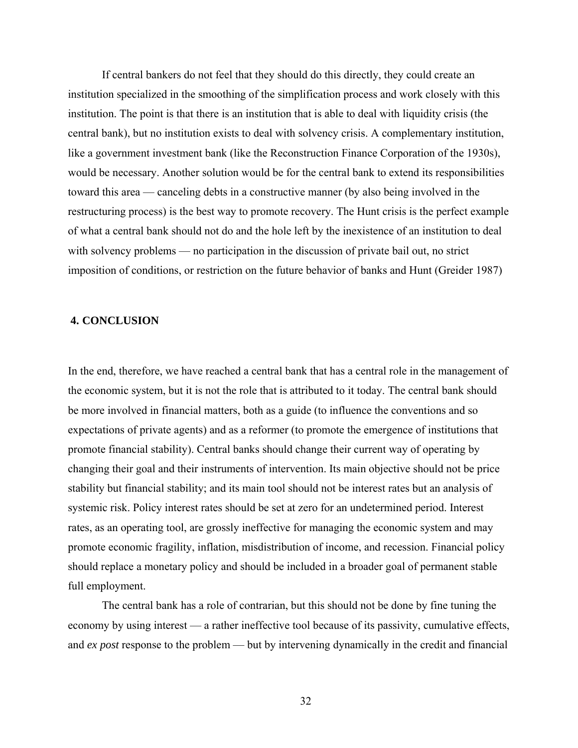If central bankers do not feel that they should do this directly, they could create an institution specialized in the smoothing of the simplification process and work closely with this institution. The point is that there is an institution that is able to deal with liquidity crisis (the central bank), but no institution exists to deal with solvency crisis. A complementary institution, like a government investment bank (like the Reconstruction Finance Corporation of the 1930s), would be necessary. Another solution would be for the central bank to extend its responsibilities toward this area — canceling debts in a constructive manner (by also being involved in the restructuring process) is the best way to promote recovery. The Hunt crisis is the perfect example of what a central bank should not do and the hole left by the inexistence of an institution to deal with solvency problems — no participation in the discussion of private bail out, no strict imposition of conditions, or restriction on the future behavior of banks and Hunt (Greider 1987)

### **4. CONCLUSION**

In the end, therefore, we have reached a central bank that has a central role in the management of the economic system, but it is not the role that is attributed to it today. The central bank should be more involved in financial matters, both as a guide (to influence the conventions and so expectations of private agents) and as a reformer (to promote the emergence of institutions that promote financial stability). Central banks should change their current way of operating by changing their goal and their instruments of intervention. Its main objective should not be price stability but financial stability; and its main tool should not be interest rates but an analysis of systemic risk. Policy interest rates should be set at zero for an undetermined period. Interest rates, as an operating tool, are grossly ineffective for managing the economic system and may promote economic fragility, inflation, misdistribution of income, and recession. Financial policy should replace a monetary policy and should be included in a broader goal of permanent stable full employment.

The central bank has a role of contrarian, but this should not be done by fine tuning the economy by using interest — a rather ineffective tool because of its passivity, cumulative effects, and *ex post* response to the problem — but by intervening dynamically in the credit and financial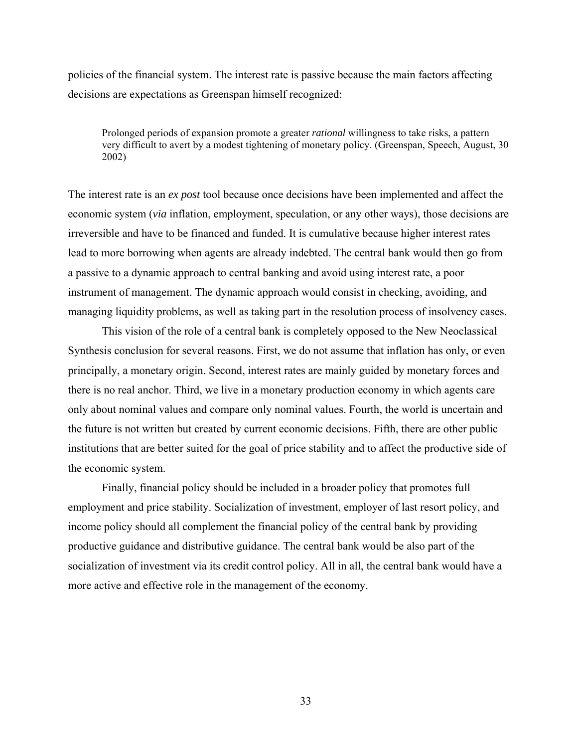policies of the financial system. The interest rate is passive because the main factors affecting decisions are expectations as Greenspan himself recognized:

Prolonged periods of expansion promote a greater *rational* willingness to take risks, a pattern very difficult to avert by a modest tightening of monetary policy. (Greenspan, Speech, August, 30 2002)

The interest rate is an *ex post* tool because once decisions have been implemented and affect the economic system (*via* inflation, employment, speculation, or any other ways), those decisions are irreversible and have to be financed and funded. It is cumulative because higher interest rates lead to more borrowing when agents are already indebted. The central bank would then go from a passive to a dynamic approach to central banking and avoid using interest rate, a poor instrument of management. The dynamic approach would consist in checking, avoiding, and managing liquidity problems, as well as taking part in the resolution process of insolvency cases.

This vision of the role of a central bank is completely opposed to the New Neoclassical Synthesis conclusion for several reasons. First, we do not assume that inflation has only, or even principally, a monetary origin. Second, interest rates are mainly guided by monetary forces and there is no real anchor. Third, we live in a monetary production economy in which agents care only about nominal values and compare only nominal values. Fourth, the world is uncertain and the future is not written but created by current economic decisions. Fifth, there are other public institutions that are better suited for the goal of price stability and to affect the productive side of the economic system.

Finally, financial policy should be included in a broader policy that promotes full employment and price stability. Socialization of investment, employer of last resort policy, and income policy should all complement the financial policy of the central bank by providing productive guidance and distributive guidance. The central bank would be also part of the socialization of investment via its credit control policy. All in all, the central bank would have a more active and effective role in the management of the economy.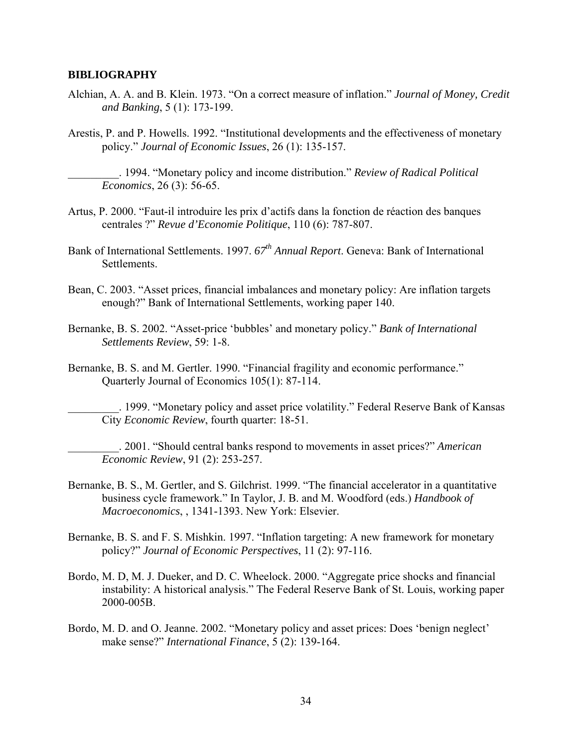# **BIBLIOGRAPHY**

- Alchian, A. A. and B. Klein. 1973. "On a correct measure of inflation." *Journal of Money, Credit and Banking*, 5 (1): 173-199.
- Arestis, P. and P. Howells. 1992. "Institutional developments and the effectiveness of monetary policy." *Journal of Economic Issues*, 26 (1): 135-157.

\_\_\_\_\_\_\_\_\_. 1994. "Monetary policy and income distribution." *Review of Radical Political Economics*, 26 (3): 56-65.

- Artus, P. 2000. "Faut-il introduire les prix d'actifs dans la fonction de réaction des banques centrales ?" *Revue d'Economie Politique*, 110 (6): 787-807.
- Bank of International Settlements. 1997.  $67<sup>th</sup>$  Annual Report. Geneva: Bank of International Settlements.
- Bean, C. 2003. "Asset prices, financial imbalances and monetary policy: Are inflation targets enough?" Bank of International Settlements, working paper 140.
- Bernanke, B. S. 2002. "Asset-price 'bubbles' and monetary policy." *Bank of International Settlements Review*, 59: 1-8.
- Bernanke, B. S. and M. Gertler. 1990. "Financial fragility and economic performance." Quarterly Journal of Economics 105(1): 87-114.

\_\_\_\_\_\_\_\_\_. 1999. "Monetary policy and asset price volatility." Federal Reserve Bank of Kansas City *Economic Review*, fourth quarter: 18-51.

\_\_\_\_\_\_\_\_\_. 2001. "Should central banks respond to movements in asset prices?" *American Economic Review*, 91 (2): 253-257.

- Bernanke, B. S., M. Gertler, and S. Gilchrist. 1999. "The financial accelerator in a quantitative business cycle framework." In Taylor, J. B. and M. Woodford (eds.) *Handbook of Macroeconomics*, , 1341-1393. New York: Elsevier.
- Bernanke, B. S. and F. S. Mishkin. 1997. "Inflation targeting: A new framework for monetary policy?" *Journal of Economic Perspectives*, 11 (2): 97-116.
- Bordo, M. D, M. J. Dueker, and D. C. Wheelock. 2000. "Aggregate price shocks and financial instability: A historical analysis." The Federal Reserve Bank of St. Louis, working paper 2000-005B.
- Bordo, M. D. and O. Jeanne. 2002. "Monetary policy and asset prices: Does 'benign neglect' make sense?" *International Finance*, 5 (2): 139-164.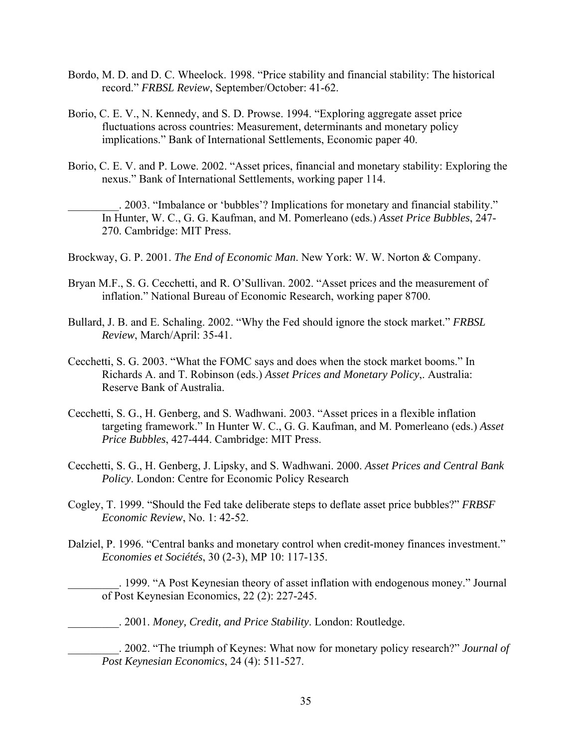- Bordo, M. D. and D. C. Wheelock. 1998. "Price stability and financial stability: The historical record." *FRBSL Review*, September/October: 41-62.
- Borio, C. E. V., N. Kennedy, and S. D. Prowse. 1994. "Exploring aggregate asset price fluctuations across countries: Measurement, determinants and monetary policy implications." Bank of International Settlements, Economic paper 40.
- Borio, C. E. V. and P. Lowe. 2002. "Asset prices, financial and monetary stability: Exploring the nexus." Bank of International Settlements, working paper 114.

\_\_\_\_\_\_\_\_\_. 2003. "Imbalance or 'bubbles'? Implications for monetary and financial stability." In Hunter, W. C., G. G. Kaufman, and M. Pomerleano (eds.) *Asset Price Bubbles*, 247- 270. Cambridge: MIT Press.

- Brockway, G. P. 2001. *The End of Economic Man*. New York: W. W. Norton & Company.
- Bryan M.F., S. G. Cecchetti, and R. O'Sullivan. 2002. "Asset prices and the measurement of inflation." National Bureau of Economic Research, working paper 8700.
- Bullard, J. B. and E. Schaling. 2002. "Why the Fed should ignore the stock market." *FRBSL Review*, March/April: 35-41.
- Cecchetti, S. G. 2003. "What the FOMC says and does when the stock market booms." In Richards A. and T. Robinson (eds.) *Asset Prices and Monetary Policy*,. Australia: Reserve Bank of Australia.
- Cecchetti, S. G., H. Genberg, and S. Wadhwani. 2003. "Asset prices in a flexible inflation targeting framework." In Hunter W. C., G. G. Kaufman, and M. Pomerleano (eds.) *Asset Price Bubbles*, 427-444. Cambridge: MIT Press.
- Cecchetti, S. G., H. Genberg, J. Lipsky, and S. Wadhwani. 2000. *Asset Prices and Central Bank Policy*. London: Centre for Economic Policy Research
- Cogley, T. 1999. "Should the Fed take deliberate steps to deflate asset price bubbles?" *FRBSF Economic Review*, No. 1: 42-52.
- Dalziel, P. 1996. "Central banks and monetary control when credit-money finances investment." *Economies et Sociétés*, 30 (2-3), MP 10: 117-135.
	- \_\_\_\_\_\_\_\_\_. 1999. "A Post Keynesian theory of asset inflation with endogenous money." Journal of Post Keynesian Economics, 22 (2): 227-245.
	- \_\_\_\_\_\_\_\_\_. 2001. *Money, Credit, and Price Stability*. London: Routledge.
	- \_\_\_\_\_\_\_\_\_. 2002. "The triumph of Keynes: What now for monetary policy research?" *Journal of Post Keynesian Economics*, 24 (4): 511-527.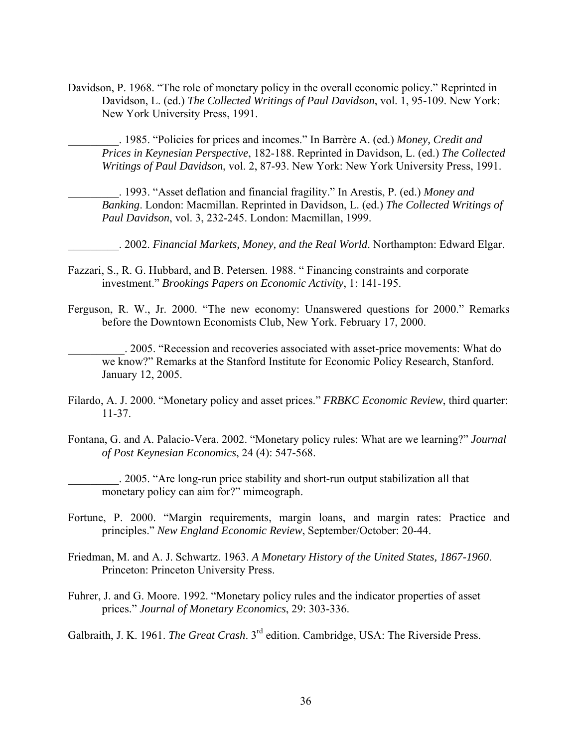Davidson, P. 1968. "The role of monetary policy in the overall economic policy." Reprinted in Davidson, L. (ed.) *The Collected Writings of Paul Davidson*, vol. 1, 95-109. New York: New York University Press, 1991.

\_\_\_\_\_\_\_\_\_. 1985. "Policies for prices and incomes." In Barrère A. (ed.) *Money, Credit and Prices in Keynesian Perspective*, 182-188. Reprinted in Davidson, L. (ed.) *The Collected Writings of Paul Davidson*, vol. 2, 87-93. New York: New York University Press, 1991.

\_\_\_\_\_\_\_\_\_. 1993. "Asset deflation and financial fragility." In Arestis, P. (ed.) *Money and Banking*. London: Macmillan. Reprinted in Davidson, L. (ed.) *The Collected Writings of Paul Davidson*, vol. 3, 232-245. London: Macmillan, 1999.

\_\_\_\_\_\_\_\_\_. 2002. *Financial Markets, Money, and the Real World*. Northampton: Edward Elgar.

- Fazzari, S., R. G. Hubbard, and B. Petersen. 1988. " Financing constraints and corporate investment." *Brookings Papers on Economic Activity*, 1: 141-195.
- Ferguson, R. W., Jr. 2000. "The new economy: Unanswered questions for 2000." Remarks before the Downtown Economists Club, New York. February 17, 2000.

\_\_\_\_\_\_\_\_\_\_. 2005. "Recession and recoveries associated with asset-price movements: What do we know?" Remarks at the Stanford Institute for Economic Policy Research, Stanford. January 12, 2005.

- Filardo, A. J. 2000. "Monetary policy and asset prices." *FRBKC Economic Review*, third quarter: 11-37.
- Fontana, G. and A. Palacio-Vera. 2002. "Monetary policy rules: What are we learning?" *Journal of Post Keynesian Economics*, 24 (4): 547-568.

\_\_\_\_\_\_\_\_\_. 2005. "Are long-run price stability and short-run output stabilization all that monetary policy can aim for?" mimeograph.

- Fortune, P. 2000. "Margin requirements, margin loans, and margin rates: Practice and principles." *New England Economic Review*, September/October: 20-44.
- Friedman, M. and A. J. Schwartz. 1963. *A Monetary History of the United States, 1867-1960*. Princeton: Princeton University Press.
- Fuhrer, J. and G. Moore. 1992. "Monetary policy rules and the indicator properties of asset prices." *Journal of Monetary Economics*, 29: 303-336.

Galbraith, J. K. 1961. *The Great Crash*. 3rd edition. Cambridge, USA: The Riverside Press.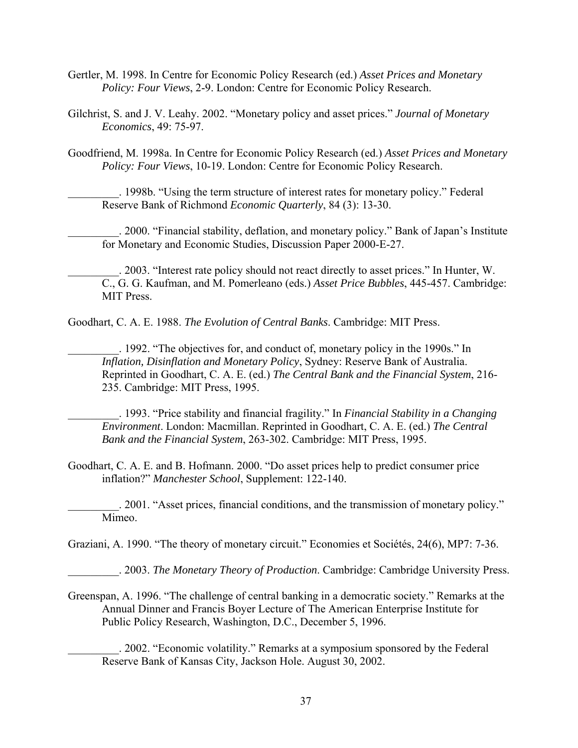- Gertler, M. 1998. In Centre for Economic Policy Research (ed.) *Asset Prices and Monetary Policy: Four Views*, 2-9. London: Centre for Economic Policy Research.
- Gilchrist, S. and J. V. Leahy. 2002. "Monetary policy and asset prices." *Journal of Monetary Economics*, 49: 75-97.
- Goodfriend, M. 1998a. In Centre for Economic Policy Research (ed.) *Asset Prices and Monetary Policy: Four Views*, 10-19. London: Centre for Economic Policy Research.

\_\_\_\_\_\_\_\_\_. 1998b. "Using the term structure of interest rates for monetary policy." Federal Reserve Bank of Richmond *Economic Quarterly*, 84 (3): 13-30.

\_\_\_\_\_\_\_\_\_. 2000. "Financial stability, deflation, and monetary policy." Bank of Japan's Institute for Monetary and Economic Studies, Discussion Paper 2000-E-27.

\_\_\_\_\_\_\_\_\_. 2003. "Interest rate policy should not react directly to asset prices." In Hunter, W. C., G. G. Kaufman, and M. Pomerleano (eds.) *Asset Price Bubbles*, 445-457. Cambridge: MIT Press.

Goodhart, C. A. E. 1988. *The Evolution of Central Banks*. Cambridge: MIT Press.

\_\_\_\_\_\_\_\_\_. 1992. "The objectives for, and conduct of, monetary policy in the 1990s." In *Inflation, Disinflation and Monetary Policy*, Sydney: Reserve Bank of Australia. Reprinted in Goodhart, C. A. E. (ed.) *The Central Bank and the Financial System*, 216- 235. Cambridge: MIT Press, 1995.

\_\_\_\_\_\_\_\_\_. 1993. "Price stability and financial fragility." In *Financial Stability in a Changing Environment*. London: Macmillan. Reprinted in Goodhart, C. A. E. (ed.) *The Central Bank and the Financial System*, 263-302. Cambridge: MIT Press, 1995.

- Goodhart, C. A. E. and B. Hofmann. 2000. "Do asset prices help to predict consumer price inflation?" *Manchester School*, Supplement: 122-140.
- \_\_\_\_\_\_\_\_\_. 2001. "Asset prices, financial conditions, and the transmission of monetary policy." Mimeo.

Graziani, A. 1990. "The theory of monetary circuit." Economies et Sociétés, 24(6), MP7: 7-36.

\_\_\_\_\_\_\_\_\_. 2003. *The Monetary Theory of Production*. Cambridge: Cambridge University Press.

Greenspan, A. 1996. "The challenge of central banking in a democratic society." Remarks at the Annual Dinner and Francis Boyer Lecture of The American Enterprise Institute for Public Policy Research, Washington, D.C., December 5, 1996.

\_\_\_\_\_\_\_\_\_. 2002. "Economic volatility." Remarks at a symposium sponsored by the Federal Reserve Bank of Kansas City, Jackson Hole. August 30, 2002.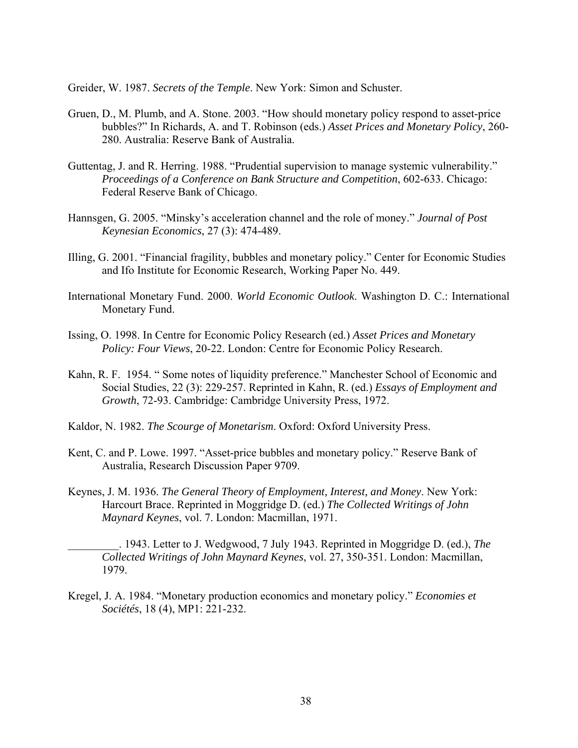Greider, W. 1987. *Secrets of the Temple*. New York: Simon and Schuster.

- Gruen, D., M. Plumb, and A. Stone. 2003. "How should monetary policy respond to asset-price bubbles?" In Richards, A. and T. Robinson (eds.) *Asset Prices and Monetary Policy*, 260- 280. Australia: Reserve Bank of Australia.
- Guttentag, J. and R. Herring. 1988. "Prudential supervision to manage systemic vulnerability." *Proceedings of a Conference on Bank Structure and Competition*, 602-633. Chicago: Federal Reserve Bank of Chicago.
- Hannsgen, G. 2005. "Minsky's acceleration channel and the role of money." *Journal of Post Keynesian Economics*, 27 (3): 474-489.
- Illing, G. 2001. "Financial fragility, bubbles and monetary policy." Center for Economic Studies and Ifo Institute for Economic Research, Working Paper No. 449.
- International Monetary Fund. 2000. *World Economic Outlook*. Washington D. C.: International Monetary Fund.
- Issing, O. 1998. In Centre for Economic Policy Research (ed.) *Asset Prices and Monetary Policy: Four Views*, 20-22. London: Centre for Economic Policy Research.
- Kahn, R. F. 1954. " Some notes of liquidity preference." Manchester School of Economic and Social Studies, 22 (3): 229-257. Reprinted in Kahn, R. (ed.) *Essays of Employment and Growth*, 72-93. Cambridge: Cambridge University Press, 1972.
- Kaldor, N. 1982. *The Scourge of Monetarism*. Oxford: Oxford University Press.
- Kent, C. and P. Lowe. 1997. "Asset-price bubbles and monetary policy." Reserve Bank of Australia, Research Discussion Paper 9709.
- Keynes, J. M. 1936. *The General Theory of Employment, Interest, and Money*. New York: Harcourt Brace. Reprinted in Moggridge D. (ed.) *The Collected Writings of John Maynard Keynes*, vol. 7. London: Macmillan, 1971.

\_\_\_\_\_\_\_\_\_. 1943. Letter to J. Wedgwood, 7 July 1943. Reprinted in Moggridge D. (ed.), *The Collected Writings of John Maynard Keynes*, vol. 27, 350-351. London: Macmillan, 1979.

Kregel, J. A. 1984. "Monetary production economics and monetary policy." *Economies et Sociétés*, 18 (4), MP1: 221-232.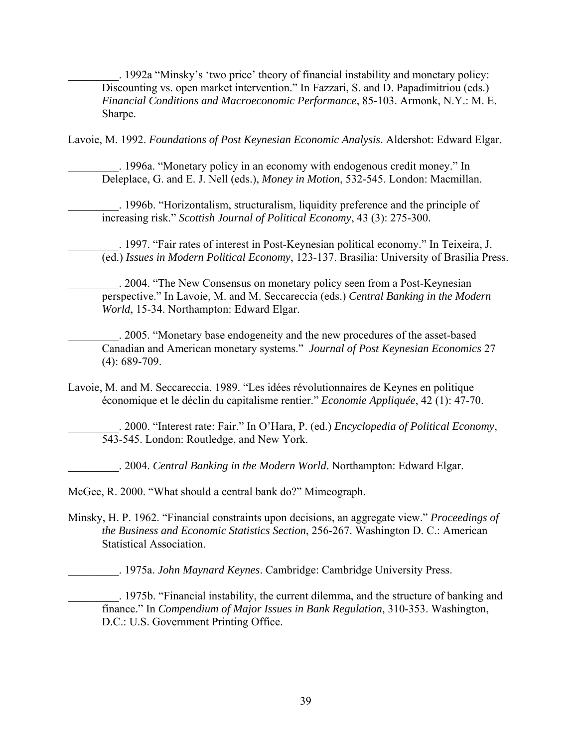\_\_\_\_\_\_\_\_\_. 1992a "Minsky's 'two price' theory of financial instability and monetary policy: Discounting vs. open market intervention." In Fazzari, S. and D. Papadimitriou (eds.) *Financial Conditions and Macroeconomic Performance*, 85-103. Armonk, N.Y.: M. E. Sharpe.

Lavoie, M. 1992. *Foundations of Post Keynesian Economic Analysis*. Aldershot: Edward Elgar.

\_\_\_\_\_\_\_\_\_. 1996a. "Monetary policy in an economy with endogenous credit money." In Deleplace, G. and E. J. Nell (eds.), *Money in Motion*, 532-545. London: Macmillan.

\_\_\_\_\_\_\_\_\_. 1996b. "Horizontalism, structuralism, liquidity preference and the principle of increasing risk." *Scottish Journal of Political Economy*, 43 (3): 275-300.

\_\_\_\_\_\_\_\_\_. 1997. "Fair rates of interest in Post-Keynesian political economy." In Teixeira, J. (ed.) *Issues in Modern Political Economy*, 123-137. Brasilia: University of Brasilia Press.

\_\_\_\_\_\_\_\_\_. 2004. "The New Consensus on monetary policy seen from a Post-Keynesian perspective." In Lavoie, M. and M. Seccareccia (eds.) *Central Banking in the Modern World*, 15-34. Northampton: Edward Elgar.

\_\_\_\_\_\_\_\_\_. 2005. "Monetary base endogeneity and the new procedures of the asset-based Canadian and American monetary systems." *Journal of Post Keynesian Economics* 27 (4): 689-709.

Lavoie, M. and M. Seccareccia. 1989. "Les idées révolutionnaires de Keynes en politique économique et le déclin du capitalisme rentier." *Economie Appliquée*, 42 (1): 47-70.

\_\_\_\_\_\_\_\_\_. 2000. "Interest rate: Fair." In O'Hara, P. (ed.) *Encyclopedia of Political Economy*, 543-545. London: Routledge, and New York.

\_\_\_\_\_\_\_\_\_. 2004. *Central Banking in the Modern World*. Northampton: Edward Elgar.

McGee, R. 2000. "What should a central bank do?" Mimeograph.

Minsky, H. P. 1962. "Financial constraints upon decisions, an aggregate view." *Proceedings of the Business and Economic Statistics Section*, 256-267. Washington D. C.: American Statistical Association.

\_\_\_\_\_\_\_\_\_. 1975a. *John Maynard Keynes*. Cambridge: Cambridge University Press.

\_\_\_\_\_\_\_\_\_. 1975b. "Financial instability, the current dilemma, and the structure of banking and finance." In *Compendium of Major Issues in Bank Regulation*, 310-353. Washington, D.C.: U.S. Government Printing Office.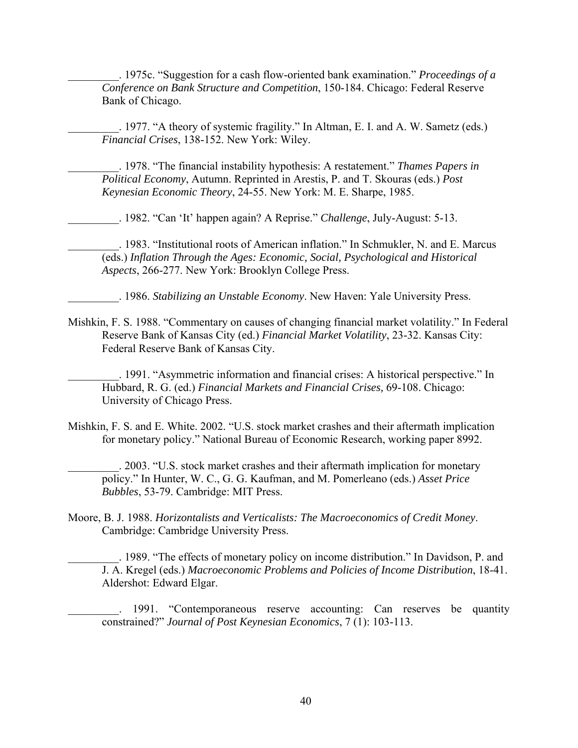\_\_\_\_\_\_\_\_\_. 1975c. "Suggestion for a cash flow-oriented bank examination." *Proceedings of a Conference on Bank Structure and Competition*, 150-184. Chicago: Federal Reserve Bank of Chicago.

\_\_\_\_\_\_\_\_\_. 1977. "A theory of systemic fragility." In Altman, E. I. and A. W. Sametz (eds.) *Financial Crises*, 138-152. New York: Wiley.

\_\_\_\_\_\_\_\_\_. 1978. "The financial instability hypothesis: A restatement." *Thames Papers in Political Economy*, Autumn. Reprinted in Arestis, P. and T. Skouras (eds.) *Post Keynesian Economic Theory*, 24-55. New York: M. E. Sharpe, 1985.

\_\_\_\_\_\_\_\_\_. 1982. "Can 'It' happen again? A Reprise." *Challenge*, July-August: 5-13.

\_\_\_\_\_\_\_\_\_. 1983. "Institutional roots of American inflation." In Schmukler, N. and E. Marcus (eds.) *Inflation Through the Ages: Economic, Social, Psychological and Historical Aspects*, 266-277. New York: Brooklyn College Press.

\_\_\_\_\_\_\_\_\_. 1986. *Stabilizing an Unstable Economy*. New Haven: Yale University Press.

- Mishkin, F. S. 1988. "Commentary on causes of changing financial market volatility." In Federal Reserve Bank of Kansas City (ed.) *Financial Market Volatility*, 23-32. Kansas City: Federal Reserve Bank of Kansas City.
	- \_\_\_\_\_\_\_\_\_. 1991. "Asymmetric information and financial crises: A historical perspective." In Hubbard, R. G. (ed.) *Financial Markets and Financial Crises,* 69-108. Chicago: University of Chicago Press.
- Mishkin, F. S. and E. White. 2002. "U.S. stock market crashes and their aftermath implication for monetary policy." National Bureau of Economic Research, working paper 8992.

\_\_\_\_\_\_\_\_\_. 2003. "U.S. stock market crashes and their aftermath implication for monetary policy." In Hunter, W. C., G. G. Kaufman, and M. Pomerleano (eds.) *Asset Price Bubbles*, 53-79. Cambridge: MIT Press.

Moore, B. J. 1988. *Horizontalists and Verticalists: The Macroeconomics of Credit Money*. Cambridge: Cambridge University Press.

\_\_\_\_\_\_\_\_\_. 1989. "The effects of monetary policy on income distribution." In Davidson, P. and J. A. Kregel (eds.) *Macroeconomic Problems and Policies of Income Distribution*, 18-41. Aldershot: Edward Elgar.

1991. "Contemporaneous reserve accounting: Can reserves be quantity constrained?" *Journal of Post Keynesian Economics*, 7 (1): 103-113.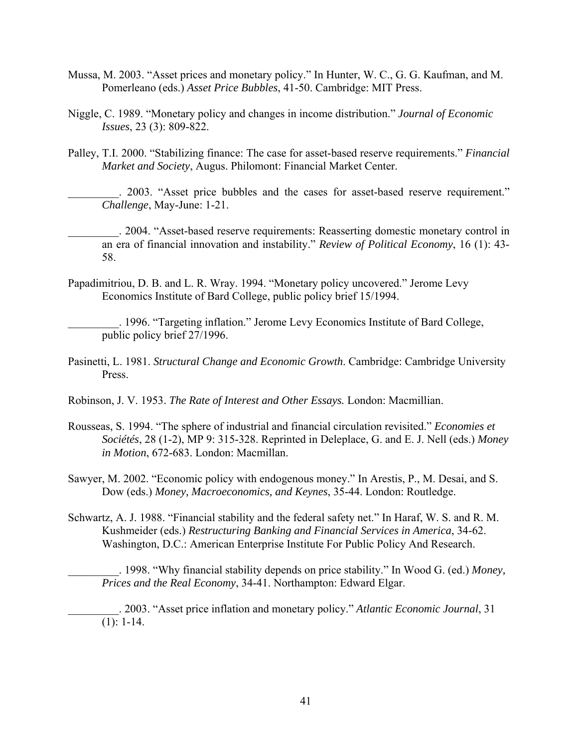- Mussa, M. 2003. "Asset prices and monetary policy." In Hunter, W. C., G. G. Kaufman, and M. Pomerleano (eds.) *Asset Price Bubbles*, 41-50. Cambridge: MIT Press.
- Niggle, C. 1989. "Monetary policy and changes in income distribution." *Journal of Economic Issues*, 23 (3): 809-822.
- Palley, T.I. 2000. "Stabilizing finance: The case for asset-based reserve requirements." *Financial Market and Society*, Augus. Philomont: Financial Market Center.

\_\_\_\_\_\_\_\_\_. 2003. "Asset price bubbles and the cases for asset-based reserve requirement." *Challenge*, May-June: 1-21.

\_\_\_\_\_\_\_\_\_. 2004. "Asset-based reserve requirements: Reasserting domestic monetary control in an era of financial innovation and instability." *Review of Political Economy*, 16 (1): 43- 58.

Papadimitriou, D. B. and L. R. Wray. 1994. "Monetary policy uncovered." Jerome Levy Economics Institute of Bard College, public policy brief 15/1994.

\_\_\_\_\_\_\_\_\_. 1996. "Targeting inflation." Jerome Levy Economics Institute of Bard College, public policy brief 27/1996.

Pasinetti, L. 1981. *Structural Change and Economic Growth*. Cambridge: Cambridge University Press.

Robinson, J. V. 1953. *The Rate of Interest and Other Essays.* London: Macmillian.

- Rousseas, S. 1994. "The sphere of industrial and financial circulation revisited." *Economies et Sociétés*, 28 (1-2), MP 9: 315-328. Reprinted in Deleplace, G. and E. J. Nell (eds.) *Money in Motion*, 672-683. London: Macmillan.
- Sawyer, M. 2002. "Economic policy with endogenous money." In Arestis, P., M. Desai, and S. Dow (eds.) *Money, Macroeconomics, and Keynes*, 35-44. London: Routledge.
- Schwartz, A. J. 1988. "Financial stability and the federal safety net." In Haraf, W. S. and R. M. Kushmeider (eds.) *Restructuring Banking and Financial Services in America*, 34-62. Washington, D.C.: American Enterprise Institute For Public Policy And Research.

\_\_\_\_\_\_\_\_\_. 1998. "Why financial stability depends on price stability." In Wood G. (ed.) *Money, Prices and the Real Economy*, 34-41. Northampton: Edward Elgar.

\_\_\_\_\_\_\_\_\_. 2003. "Asset price inflation and monetary policy." *Atlantic Economic Journal*, 31  $(1): 1-14.$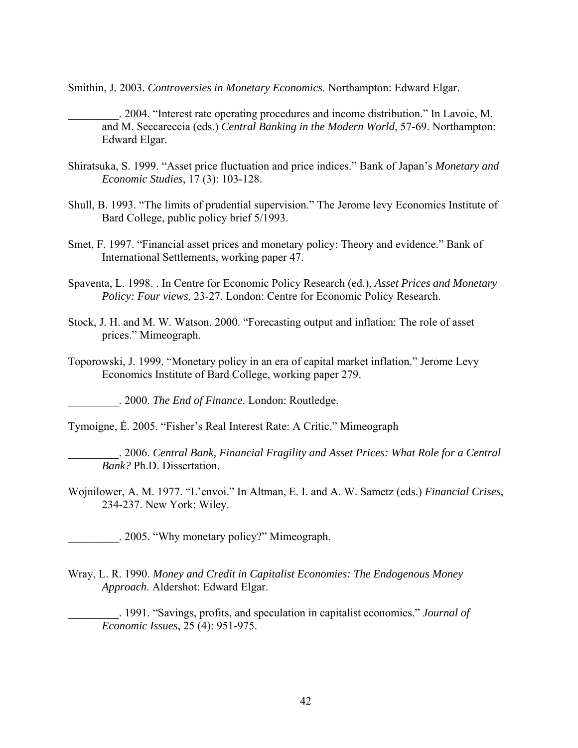Smithin, J. 2003. *Controversies in Monetary Economics*. Northampton: Edward Elgar.

\_\_\_\_\_\_\_\_\_. 2004. "Interest rate operating procedures and income distribution." In Lavoie, M. and M. Seccareccia (eds.) *Central Banking in the Modern World*, 57-69. Northampton: Edward Elgar.

- Shiratsuka, S. 1999. "Asset price fluctuation and price indices." Bank of Japan's *Monetary and Economic Studies*, 17 (3): 103-128.
- Shull, B. 1993. "The limits of prudential supervision." The Jerome levy Economics Institute of Bard College, public policy brief 5/1993.
- Smet, F. 1997. "Financial asset prices and monetary policy: Theory and evidence." Bank of International Settlements, working paper 47.
- Spaventa, L. 1998. . In Centre for Economic Policy Research (ed.), *Asset Prices and Monetary Policy: Four views*, 23-27. London: Centre for Economic Policy Research.
- Stock, J. H. and M. W. Watson. 2000. "Forecasting output and inflation: The role of asset prices." Mimeograph.
- Toporowski, J. 1999. "Monetary policy in an era of capital market inflation." Jerome Levy Economics Institute of Bard College, working paper 279.

\_\_\_\_\_\_\_\_\_. 2000. *The End of Finance*. London: Routledge.

Tymoigne, É. 2005. "Fisher's Real Interest Rate: A Critic." Mimeograph

- \_\_\_\_\_\_\_\_\_. 2006. *Central Bank, Financial Fragility and Asset Prices: What Role for a Central Bank?* Ph.D. Dissertation.
- Wojnilower, A. M. 1977. "L'envoi." In Altman, E. I. and A. W. Sametz (eds.) *Financial Crises*, 234-237. New York: Wiley.
	- \_\_\_\_\_\_\_\_\_. 2005. "Why monetary policy?" Mimeograph.
- Wray, L. R. 1990. *Money and Credit in Capitalist Economies: The Endogenous Money Approach*. Aldershot: Edward Elgar.
	- \_\_\_\_\_\_\_\_\_. 1991. "Savings, profits, and speculation in capitalist economies." *Journal of Economic Issues*, 25 (4): 951-975.